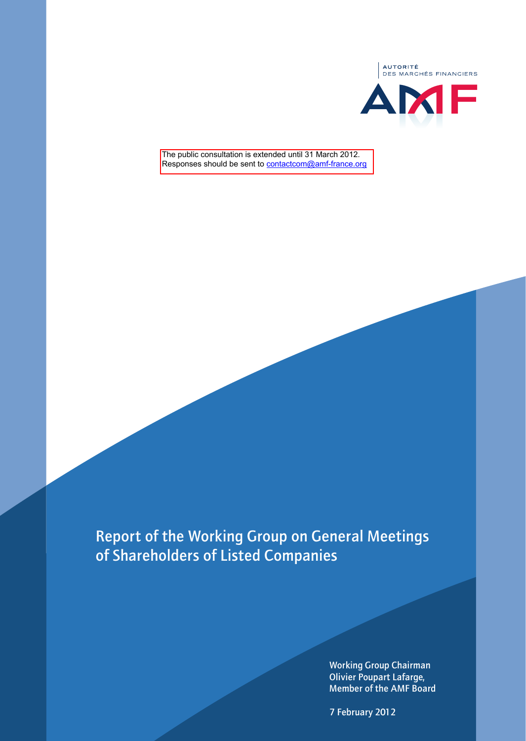

The public consultation is extended until 31 March 2012. Responses should be sent to contactcom@amf-france.org

Report of the Working Group on General Meetings of Shareholders of Listed Companies

> Working Group Chairman Olivier Poupart Lafarge, Member of the AMF Board

7 February 2012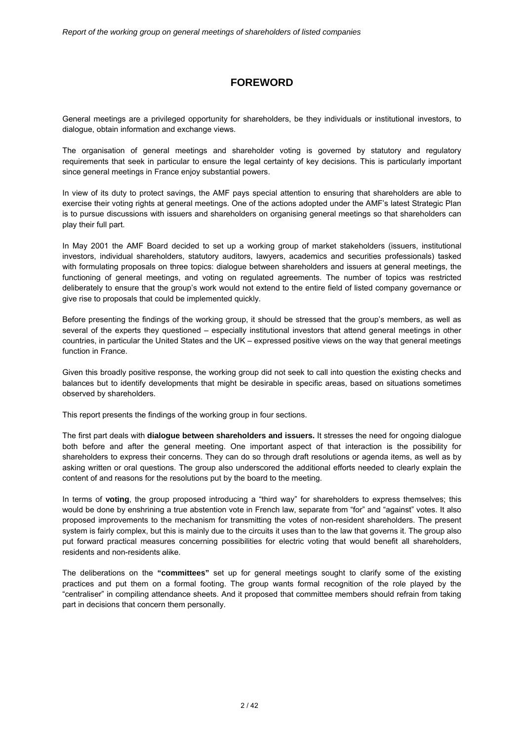## **FOREWORD**

General meetings are a privileged opportunity for shareholders, be they individuals or institutional investors, to dialogue, obtain information and exchange views.

The organisation of general meetings and shareholder voting is governed by statutory and regulatory requirements that seek in particular to ensure the legal certainty of key decisions. This is particularly important since general meetings in France enjoy substantial powers.

In view of its duty to protect savings, the AMF pays special attention to ensuring that shareholders are able to exercise their voting rights at general meetings. One of the actions adopted under the AMF's latest Strategic Plan is to pursue discussions with issuers and shareholders on organising general meetings so that shareholders can play their full part.

In May 2001 the AMF Board decided to set up a working group of market stakeholders (issuers, institutional investors, individual shareholders, statutory auditors, lawyers, academics and securities professionals) tasked with formulating proposals on three topics: dialogue between shareholders and issuers at general meetings, the functioning of general meetings, and voting on regulated agreements. The number of topics was restricted deliberately to ensure that the group's work would not extend to the entire field of listed company governance or give rise to proposals that could be implemented quickly.

Before presenting the findings of the working group, it should be stressed that the group's members, as well as several of the experts they questioned – especially institutional investors that attend general meetings in other countries, in particular the United States and the UK – expressed positive views on the way that general meetings function in France.

Given this broadly positive response, the working group did not seek to call into question the existing checks and balances but to identify developments that might be desirable in specific areas, based on situations sometimes observed by shareholders.

This report presents the findings of the working group in four sections.

The first part deals with **dialogue between shareholders and issuers.** It stresses the need for ongoing dialogue both before and after the general meeting. One important aspect of that interaction is the possibility for shareholders to express their concerns. They can do so through draft resolutions or agenda items, as well as by asking written or oral questions. The group also underscored the additional efforts needed to clearly explain the content of and reasons for the resolutions put by the board to the meeting.

In terms of **voting**, the group proposed introducing a "third way" for shareholders to express themselves; this would be done by enshrining a true abstention vote in French law, separate from "for" and "against" votes. It also proposed improvements to the mechanism for transmitting the votes of non-resident shareholders. The present system is fairly complex, but this is mainly due to the circuits it uses than to the law that governs it. The group also put forward practical measures concerning possibilities for electric voting that would benefit all shareholders, residents and non-residents alike.

The deliberations on the **"committees"** set up for general meetings sought to clarify some of the existing practices and put them on a formal footing. The group wants formal recognition of the role played by the "centraliser" in compiling attendance sheets. And it proposed that committee members should refrain from taking part in decisions that concern them personally.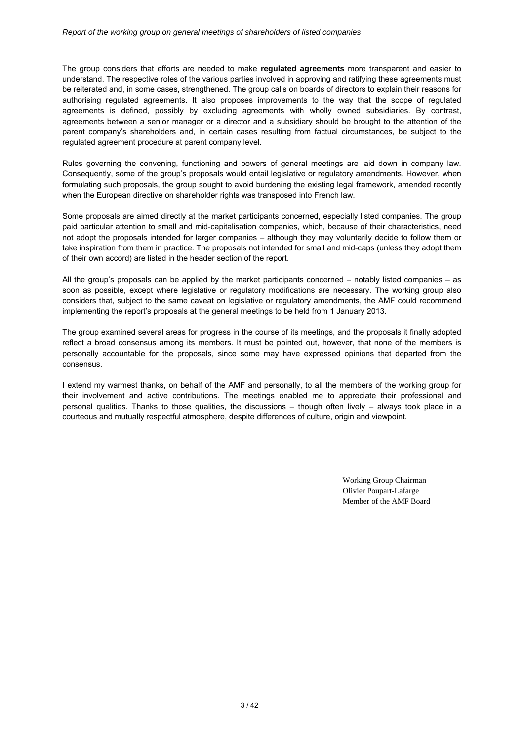The group considers that efforts are needed to make **regulated agreements** more transparent and easier to understand. The respective roles of the various parties involved in approving and ratifying these agreements must be reiterated and, in some cases, strengthened. The group calls on boards of directors to explain their reasons for authorising regulated agreements. It also proposes improvements to the way that the scope of regulated agreements is defined, possibly by excluding agreements with wholly owned subsidiaries. By contrast, agreements between a senior manager or a director and a subsidiary should be brought to the attention of the parent company's shareholders and, in certain cases resulting from factual circumstances, be subject to the regulated agreement procedure at parent company level.

Rules governing the convening, functioning and powers of general meetings are laid down in company law. Consequently, some of the group's proposals would entail legislative or regulatory amendments. However, when formulating such proposals, the group sought to avoid burdening the existing legal framework, amended recently when the European directive on shareholder rights was transposed into French law.

Some proposals are aimed directly at the market participants concerned, especially listed companies. The group paid particular attention to small and mid-capitalisation companies, which, because of their characteristics, need not adopt the proposals intended for larger companies – although they may voluntarily decide to follow them or take inspiration from them in practice. The proposals not intended for small and mid-caps (unless they adopt them of their own accord) are listed in the header section of the report.

All the group's proposals can be applied by the market participants concerned – notably listed companies – as soon as possible, except where legislative or regulatory modifications are necessary. The working group also considers that, subject to the same caveat on legislative or regulatory amendments, the AMF could recommend implementing the report's proposals at the general meetings to be held from 1 January 2013.

The group examined several areas for progress in the course of its meetings, and the proposals it finally adopted reflect a broad consensus among its members. It must be pointed out, however, that none of the members is personally accountable for the proposals, since some may have expressed opinions that departed from the consensus.

I extend my warmest thanks, on behalf of the AMF and personally, to all the members of the working group for their involvement and active contributions. The meetings enabled me to appreciate their professional and personal qualities. Thanks to those qualities, the discussions – though often lively – always took place in a courteous and mutually respectful atmosphere, despite differences of culture, origin and viewpoint.

> Working Group Chairman Olivier Poupart-Lafarge Member of the AMF Board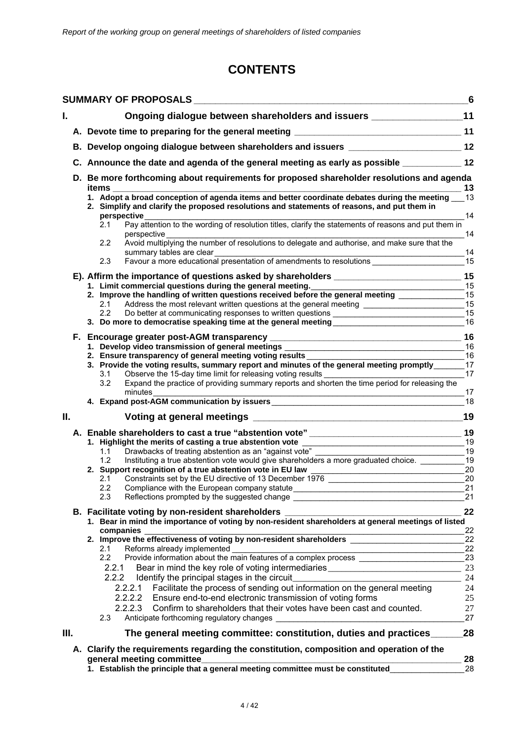# **CONTENTS**

|     |                                                                                                                                                                                           |                                                                                                                                                                                                                                                                         | 6        |  |  |  |
|-----|-------------------------------------------------------------------------------------------------------------------------------------------------------------------------------------------|-------------------------------------------------------------------------------------------------------------------------------------------------------------------------------------------------------------------------------------------------------------------------|----------|--|--|--|
| I.  |                                                                                                                                                                                           | Ongoing dialogue between shareholders and issuers ____________________11                                                                                                                                                                                                |          |  |  |  |
|     |                                                                                                                                                                                           |                                                                                                                                                                                                                                                                         |          |  |  |  |
|     | B. Develop ongoing dialogue between shareholders and issuers __________________________12<br>C. Announce the date and agenda of the general meeting as early as possible _____________ 12 |                                                                                                                                                                                                                                                                         |          |  |  |  |
|     |                                                                                                                                                                                           |                                                                                                                                                                                                                                                                         |          |  |  |  |
|     |                                                                                                                                                                                           | D. Be more forthcoming about requirements for proposed shareholder resolutions and agenda<br><u>23 mars = 200 mars = 200 mars = 200 mars = 200 mars = 200 mars = 200 mars = 200 mars = 200 mars = 200 mars = 20</u><br>items                                            |          |  |  |  |
|     |                                                                                                                                                                                           | 1. Adopt a broad conception of agenda items and better coordinate debates during the meeting 13<br>2. Simplify and clarify the proposed resolutions and statements of reasons, and put them in<br>perspective                                                           | 14       |  |  |  |
|     |                                                                                                                                                                                           | المحتوىية.<br>Pay attention to the wording of resolution titles, clarify the statements of reasons and put them in<br>2.1<br>perspective                                                                                                                                | 14       |  |  |  |
|     |                                                                                                                                                                                           | Avoid multiplying the number of resolutions to delegate and authorise, and make sure that the<br>2.2<br>summary tables are clear                                                                                                                                        |          |  |  |  |
|     |                                                                                                                                                                                           | summary tables are clear<br>Favour a more educational presentation of amendments to resolutions ________________________15<br>2.3                                                                                                                                       |          |  |  |  |
|     |                                                                                                                                                                                           |                                                                                                                                                                                                                                                                         | 15       |  |  |  |
|     |                                                                                                                                                                                           | 1. Limit commercial questions during the general meeting.<br><u> 1989 - Johann Barnett, fransk politiker (d. 1989)</u><br>2. Improve the handling of written questions received before the general meeting                                                              | 15       |  |  |  |
|     |                                                                                                                                                                                           | Address the most relevant written questions at the general meeting _________________________15<br>2.1                                                                                                                                                                   | 15       |  |  |  |
|     |                                                                                                                                                                                           | 2.2<br>Do better at communicating responses to written questions ______________________                                                                                                                                                                                 | 15       |  |  |  |
|     |                                                                                                                                                                                           | 3. Do more to democratise speaking time at the general meeting__________________                                                                                                                                                                                        | 16       |  |  |  |
|     |                                                                                                                                                                                           |                                                                                                                                                                                                                                                                         | 16       |  |  |  |
|     |                                                                                                                                                                                           |                                                                                                                                                                                                                                                                         |          |  |  |  |
|     |                                                                                                                                                                                           | $\frac{16}{2}$                                                                                                                                                                                                                                                          |          |  |  |  |
|     |                                                                                                                                                                                           | 2. Ensure transparency of general meeting voting results<br>3. Provide the voting results, summary report and minutes of the general meeting promptly________17                                                                                                         |          |  |  |  |
|     |                                                                                                                                                                                           | Observe the 15-day time limit for releasing voting results<br>Expand the practice of providing summary reports and shorten the time period for releasing the<br>3.1                                                                                                     | 17       |  |  |  |
|     |                                                                                                                                                                                           | 3.2                                                                                                                                                                                                                                                                     | 17       |  |  |  |
|     |                                                                                                                                                                                           | minutes<br><u> 1989 - Johann Barn, amerikan besteman besteman besteman besteman besteman besteman besteman besteman bestema</u>                                                                                                                                         | 18       |  |  |  |
|     |                                                                                                                                                                                           |                                                                                                                                                                                                                                                                         |          |  |  |  |
| ΙΙ. |                                                                                                                                                                                           |                                                                                                                                                                                                                                                                         | 19       |  |  |  |
|     |                                                                                                                                                                                           |                                                                                                                                                                                                                                                                         |          |  |  |  |
|     |                                                                                                                                                                                           |                                                                                                                                                                                                                                                                         | 19       |  |  |  |
|     |                                                                                                                                                                                           | Drawbacks of treating abstention as an "against vote"<br>$\frac{1}{2}$ 19<br>1.1<br>Drawbacks of treating abstention as an "against vote" __________________________<br>Instituting a true abstention vote would give shareholders a more graduated choice. ___________ |          |  |  |  |
|     |                                                                                                                                                                                           | 1.2<br>2. Support recognition of a true abstention vote in EU law                                                                                                                                                                                                       | 19<br>20 |  |  |  |
|     |                                                                                                                                                                                           | <u> 1989 - Johann Barnett, fransk politik (d. 1989)</u><br>Constraints set by the EU directive of 13 December 1976<br>2.1                                                                                                                                               | 20       |  |  |  |
|     |                                                                                                                                                                                           | 2.2                                                                                                                                                                                                                                                                     | 21       |  |  |  |
|     |                                                                                                                                                                                           | 2.3<br>Reflections prompted by the suggested change ___________________________________                                                                                                                                                                                 | 21       |  |  |  |
|     |                                                                                                                                                                                           |                                                                                                                                                                                                                                                                         | 22       |  |  |  |
|     |                                                                                                                                                                                           | B. Facilitate voting by non-resident shareholders ______________________________<br>1. Bear in mind the importance of voting by non-resident shareholders at general meetings of listed                                                                                 |          |  |  |  |
|     |                                                                                                                                                                                           | companies                                                                                                                                                                                                                                                               | 22       |  |  |  |
|     |                                                                                                                                                                                           |                                                                                                                                                                                                                                                                         | 22       |  |  |  |
|     |                                                                                                                                                                                           | Reforms already implemented<br>2.1                                                                                                                                                                                                                                      | 22       |  |  |  |
|     |                                                                                                                                                                                           | Provide information about the main features of a complex process ________________<br>$2.2\phantom{0}$                                                                                                                                                                   | 23       |  |  |  |
|     |                                                                                                                                                                                           | Bear in mind the key role of voting intermediaries _____________________________<br>2.2.1                                                                                                                                                                               | 23       |  |  |  |
|     |                                                                                                                                                                                           | 2.2.2<br>Identify the principal stages in the circuit                                                                                                                                                                                                                   | 24       |  |  |  |
|     |                                                                                                                                                                                           | Facilitate the process of sending out information on the general meeting<br>2.2.2.1                                                                                                                                                                                     | 24       |  |  |  |
|     |                                                                                                                                                                                           | Ensure end-to-end electronic transmission of voting forms<br>2.2.2.2                                                                                                                                                                                                    | 25       |  |  |  |
|     |                                                                                                                                                                                           | 2.2.2.3<br>Confirm to shareholders that their votes have been cast and counted.<br>2.3<br>Anticipate forthcoming regulatory changes                                                                                                                                     | 27<br>27 |  |  |  |
| Ш.  |                                                                                                                                                                                           | The general meeting committee: constitution, duties and practices                                                                                                                                                                                                       | 28       |  |  |  |
|     |                                                                                                                                                                                           | A. Clarify the requirements regarding the constitution, composition and operation of the                                                                                                                                                                                |          |  |  |  |
|     |                                                                                                                                                                                           | general meeting committee_                                                                                                                                                                                                                                              |          |  |  |  |
|     |                                                                                                                                                                                           | 1. Establish the principle that a general meeting committee must be constituted                                                                                                                                                                                         | 28<br>28 |  |  |  |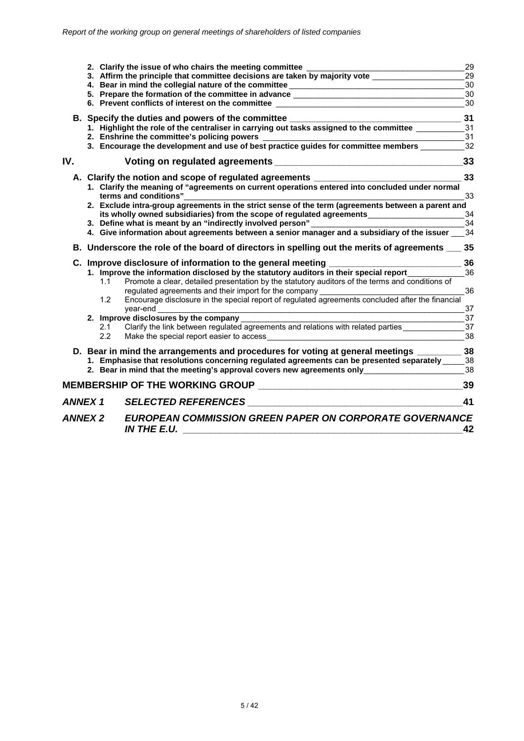|                |            | 2. Clarify the issue of who chairs the meeting committee                                                                                                                                                                                       | 29       |
|----------------|------------|------------------------------------------------------------------------------------------------------------------------------------------------------------------------------------------------------------------------------------------------|----------|
|                |            | 3. Affirm the principle that committee decisions are taken by majority vote                                                                                                                                                                    | 29       |
|                |            | 4. Bear in mind the collegial nature of the committee __________________________<br>5. Prepare the formation of the committee in advance ___________________________                                                                           | 30<br>30 |
|                |            | 6. Prevent conflicts of interest on the committee                                                                                                                                                                                              | 30       |
|                |            |                                                                                                                                                                                                                                                |          |
|                |            | B. Specify the duties and powers of the committee _______________________________<br>1. Highlight the role of the centraliser in carrying out tasks assigned to the committee __________                                                       | 31       |
|                |            |                                                                                                                                                                                                                                                | 31       |
|                |            |                                                                                                                                                                                                                                                | 31       |
|                |            | 3. Encourage the development and use of best practice guides for committee members                                                                                                                                                             | 32       |
| IV.            |            |                                                                                                                                                                                                                                                | 33       |
|                |            | A. Clarify the notion and scope of regulated agreements ________________________                                                                                                                                                               | 33       |
|                |            | 1. Clarify the meaning of "agreements on current operations entered into concluded under normal<br>terms and conditions"                                                                                                                       | 33       |
|                |            | 2. Exclude intra-group agreements in the strict sense of the term (agreements between a parent and                                                                                                                                             |          |
|                |            | its wholly owned subsidiaries) from the scope of regulated agreements____________                                                                                                                                                              | 34       |
|                |            | 3. Define what is meant by an "indirectly involved person"                                                                                                                                                                                     | 34       |
|                |            | 4. Give information about agreements between a senior manager and a subsidiary of the issuer                                                                                                                                                   | 34       |
|                |            | B. Underscore the role of the board of directors in spelling out the merits of agreements __ 35                                                                                                                                                |          |
|                |            | C. Improve disclosure of information to the general meeting                                                                                                                                                                                    | 36       |
|                |            | 1. Improve the information disclosed by the statutory auditors in their special report                                                                                                                                                         | 36       |
|                | 1.1        | Promote a clear, detailed presentation by the statutory auditors of the terms and conditions of                                                                                                                                                |          |
|                |            | regulated agreements and their import for the company<br>reguiated agreements and their import for the company ___________________________<br>Encourage disclosure in the special report of regulated agreements concluded after the financial | 36       |
|                | 1.2        |                                                                                                                                                                                                                                                |          |
|                |            | year-end                                                                                                                                                                                                                                       | 37       |
|                |            | 2. Improve disclosures by the company                                                                                                                                                                                                          | 37       |
|                | 2.1<br>2.2 | Clarify the link between regulated agreements and relations with related parties                                                                                                                                                               | 37<br>38 |
|                |            | Make the special report easier to access                                                                                                                                                                                                       |          |
|                |            | D. Bear in mind the arrangements and procedures for voting at general meetings __                                                                                                                                                              | 38       |
|                |            | 1. Emphasise that resolutions concerning regulated agreements can be presented separately                                                                                                                                                      | 38       |
|                |            | 2. Bear in mind that the meeting's approval covers new agreements only                                                                                                                                                                         | 38       |
|                |            |                                                                                                                                                                                                                                                | 39       |
| <b>ANNEX1</b>  |            | <b>SELECTED REFERENCES</b><br><u> 1980 - Jan James James James James James James James James James James James James James James James James Ja</u>                                                                                            | 41       |
| <b>ANNEX 2</b> |            | <b>EUROPEAN COMMISSION GREEN PAPER ON CORPORATE GOVERNANCE</b><br><b>IN THE E.U.</b>                                                                                                                                                           | 42       |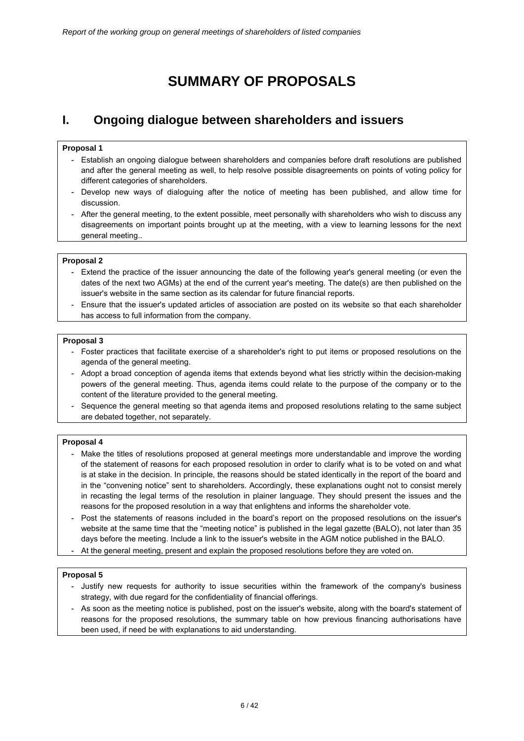# **SUMMARY OF PROPOSALS**

## **I. Ongoing dialogue between shareholders and issuers**

#### **Proposal 1**

- Establish an ongoing dialogue between shareholders and companies before draft resolutions are published and after the general meeting as well, to help resolve possible disagreements on points of voting policy for different categories of shareholders.
- Develop new ways of dialoguing after the notice of meeting has been published, and allow time for discussion.
- After the general meeting, to the extent possible, meet personally with shareholders who wish to discuss any disagreements on important points brought up at the meeting, with a view to learning lessons for the next general meeting..

#### **Proposal 2**

- Extend the practice of the issuer announcing the date of the following year's general meeting (or even the dates of the next two AGMs) at the end of the current year's meeting. The date(s) are then published on the issuer's website in the same section as its calendar for future financial reports.
- Ensure that the issuer's updated articles of association are posted on its website so that each shareholder has access to full information from the company.

#### **Proposal 3**

- Foster practices that facilitate exercise of a shareholder's right to put items or proposed resolutions on the agenda of the general meeting.
- Adopt a broad conception of agenda items that extends beyond what lies strictly within the decision-making powers of the general meeting. Thus, agenda items could relate to the purpose of the company or to the content of the literature provided to the general meeting.
- Sequence the general meeting so that agenda items and proposed resolutions relating to the same subject are debated together, not separately.

#### **Proposal 4**

- Make the titles of resolutions proposed at general meetings more understandable and improve the wording of the statement of reasons for each proposed resolution in order to clarify what is to be voted on and what is at stake in the decision. In principle, the reasons should be stated identically in the report of the board and in the "convening notice" sent to shareholders. Accordingly, these explanations ought not to consist merely in recasting the legal terms of the resolution in plainer language. They should present the issues and the reasons for the proposed resolution in a way that enlightens and informs the shareholder vote.
- Post the statements of reasons included in the board's report on the proposed resolutions on the issuer's website at the same time that the "meeting notice" is published in the legal gazette (BALO), not later than 35 days before the meeting. Include a link to the issuer's website in the AGM notice published in the BALO.
- At the general meeting, present and explain the proposed resolutions before they are voted on.

#### **Proposal 5**

- Justify new requests for authority to issue securities within the framework of the company's business strategy, with due regard for the confidentiality of financial offerings.
- As soon as the meeting notice is published, post on the issuer's website, along with the board's statement of reasons for the proposed resolutions, the summary table on how previous financing authorisations have been used, if need be with explanations to aid understanding.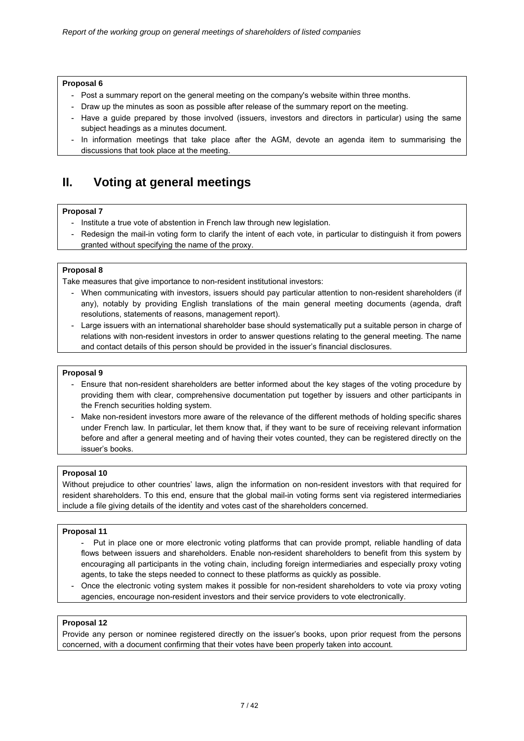- Post a summary report on the general meeting on the company's website within three months.
- Draw up the minutes as soon as possible after release of the summary report on the meeting.
- Have a guide prepared by those involved (issuers, investors and directors in particular) using the same subject headings as a minutes document.
- In information meetings that take place after the AGM, devote an agenda item to summarising the discussions that took place at the meeting.

## **II. Voting at general meetings**

#### **Proposal 7**

- Institute a true vote of abstention in French law through new legislation.
- Redesign the mail-in voting form to clarify the intent of each vote, in particular to distinguish it from powers granted without specifying the name of the proxy.

#### **Proposal 8**

Take measures that give importance to non-resident institutional investors:

- When communicating with investors, issuers should pay particular attention to non-resident shareholders (if any), notably by providing English translations of the main general meeting documents (agenda, draft resolutions, statements of reasons, management report).
- Large issuers with an international shareholder base should systematically put a suitable person in charge of relations with non-resident investors in order to answer questions relating to the general meeting. The name and contact details of this person should be provided in the issuer's financial disclosures.

#### **Proposal 9**

- Ensure that non-resident shareholders are better informed about the key stages of the voting procedure by providing them with clear, comprehensive documentation put together by issuers and other participants in the French securities holding system.
- Make non-resident investors more aware of the relevance of the different methods of holding specific shares under French law. In particular, let them know that, if they want to be sure of receiving relevant information before and after a general meeting and of having their votes counted, they can be registered directly on the issuer's books.

#### **Proposal 10**

Without prejudice to other countries' laws, align the information on non-resident investors with that required for resident shareholders. To this end, ensure that the global mail-in voting forms sent via registered intermediaries include a file giving details of the identity and votes cast of the shareholders concerned.

#### **Proposal 11**

- Put in place one or more electronic voting platforms that can provide prompt, reliable handling of data flows between issuers and shareholders. Enable non-resident shareholders to benefit from this system by encouraging all participants in the voting chain, including foreign intermediaries and especially proxy voting agents, to take the steps needed to connect to these platforms as quickly as possible.
- Once the electronic voting system makes it possible for non-resident shareholders to vote via proxy voting agencies, encourage non-resident investors and their service providers to vote electronically.

#### **Proposal 12**

Provide any person or nominee registered directly on the issuer's books, upon prior request from the persons concerned, with a document confirming that their votes have been properly taken into account.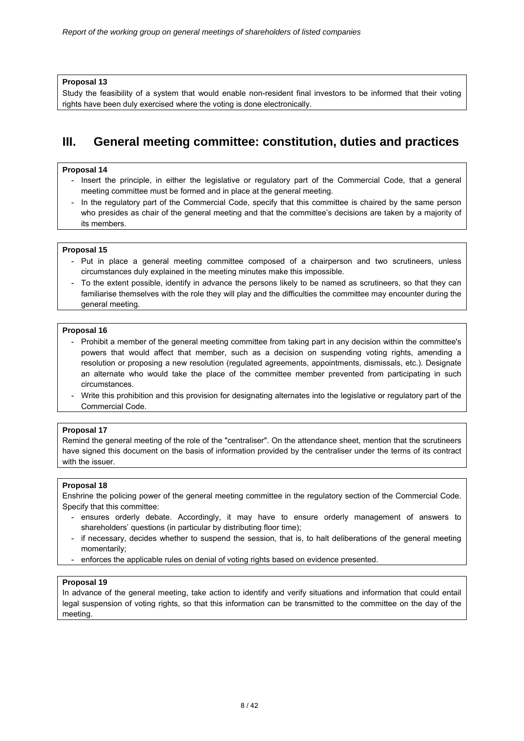Study the feasibility of a system that would enable non-resident final investors to be informed that their voting rights have been duly exercised where the voting is done electronically.

## **III. General meeting committee: constitution, duties and practices**

#### **Proposal 14**

- Insert the principle, in either the legislative or regulatory part of the Commercial Code, that a general meeting committee must be formed and in place at the general meeting.
- In the regulatory part of the Commercial Code, specify that this committee is chaired by the same person who presides as chair of the general meeting and that the committee's decisions are taken by a majority of its members.

#### **Proposal 15**

- Put in place a general meeting committee composed of a chairperson and two scrutineers, unless circumstances duly explained in the meeting minutes make this impossible.
- To the extent possible, identify in advance the persons likely to be named as scrutineers, so that they can familiarise themselves with the role they will play and the difficulties the committee may encounter during the general meeting.

#### **Proposal 16**

- Prohibit a member of the general meeting committee from taking part in any decision within the committee's powers that would affect that member, such as a decision on suspending voting rights, amending a resolution or proposing a new resolution (regulated agreements, appointments, dismissals, etc.). Designate an alternate who would take the place of the committee member prevented from participating in such circumstances.
- Write this prohibition and this provision for designating alternates into the legislative or regulatory part of the Commercial Code.

#### **Proposal 17**

Remind the general meeting of the role of the "centraliser". On the attendance sheet, mention that the scrutineers have signed this document on the basis of information provided by the centraliser under the terms of its contract with the issuer.

#### **Proposal 18**

Enshrine the policing power of the general meeting committee in the regulatory section of the Commercial Code. Specify that this committee:

- ensures orderly debate. Accordingly, it may have to ensure orderly management of answers to shareholders' questions (in particular by distributing floor time);
- if necessary, decides whether to suspend the session, that is, to halt deliberations of the general meeting momentarily;
- enforces the applicable rules on denial of voting rights based on evidence presented.

#### **Proposal 19**

In advance of the general meeting, take action to identify and verify situations and information that could entail legal suspension of voting rights, so that this information can be transmitted to the committee on the day of the meeting.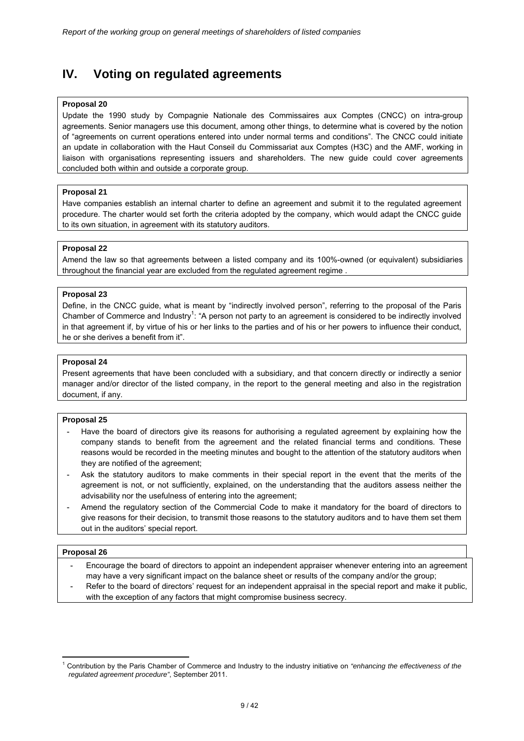## **IV. Voting on regulated agreements**

#### **Proposal 20**

Update the 1990 study by Compagnie Nationale des Commissaires aux Comptes (CNCC) on intra-group agreements. Senior managers use this document, among other things, to determine what is covered by the notion of "agreements on current operations entered into under normal terms and conditions". The CNCC could initiate an update in collaboration with the Haut Conseil du Commissariat aux Comptes (H3C) and the AMF, working in liaison with organisations representing issuers and shareholders. The new guide could cover agreements concluded both within and outside a corporate group.

#### **Proposal 21**

Have companies establish an internal charter to define an agreement and submit it to the regulated agreement procedure. The charter would set forth the criteria adopted by the company, which would adapt the CNCC guide to its own situation, in agreement with its statutory auditors.

#### **Proposal 22**

Amend the law so that agreements between a listed company and its 100%-owned (or equivalent) subsidiaries throughout the financial year are excluded from the regulated agreement regime .

#### **Proposal 23**

Define, in the CNCC guide, what is meant by "indirectly involved person", referring to the proposal of the Paris Chamber of Commerce and Industry<sup>1</sup>: "A person not party to an agreement is considered to be indirectly involved in that agreement if, by virtue of his or her links to the parties and of his or her powers to influence their conduct, he or she derives a benefit from it".

#### **Proposal 24**

Present agreements that have been concluded with a subsidiary, and that concern directly or indirectly a senior manager and/or director of the listed company, in the report to the general meeting and also in the registration document, if any.

#### **Proposal 25**

- Have the board of directors give its reasons for authorising a regulated agreement by explaining how the company stands to benefit from the agreement and the related financial terms and conditions. These reasons would be recorded in the meeting minutes and bought to the attention of the statutory auditors when they are notified of the agreement;
- Ask the statutory auditors to make comments in their special report in the event that the merits of the agreement is not, or not sufficiently, explained, on the understanding that the auditors assess neither the advisability nor the usefulness of entering into the agreement;
- Amend the regulatory section of the Commercial Code to make it mandatory for the board of directors to give reasons for their decision, to transmit those reasons to the statutory auditors and to have them set them out in the auditors' special report.

#### **Proposal 26**

-

- Encourage the board of directors to appoint an independent appraiser whenever entering into an agreement may have a very significant impact on the balance sheet or results of the company and/or the group;
- Refer to the board of directors' request for an independent appraisal in the special report and make it public, with the exception of any factors that might compromise business secrecy.

<sup>1</sup> Contribution by the Paris Chamber of Commerce and Industry to the industry initiative on *"enhancing the effectiveness of the regulated agreement procedure"*, September 2011.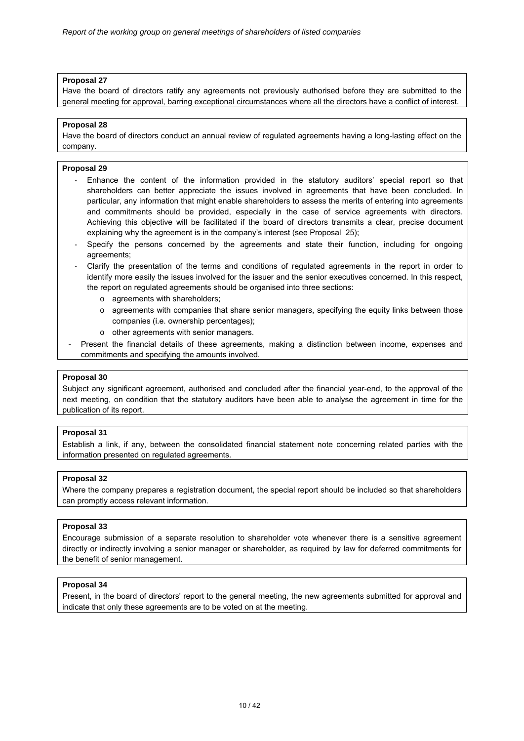Have the board of directors ratify any agreements not previously authorised before they are submitted to the general meeting for approval, barring exceptional circumstances where all the directors have a conflict of interest.

#### **Proposal 28**

Have the board of directors conduct an annual review of regulated agreements having a long-lasting effect on the company.

#### **Proposal 29**

- ‐ Enhance the content of the information provided in the statutory auditors' special report so that shareholders can better appreciate the issues involved in agreements that have been concluded. In particular, any information that might enable shareholders to assess the merits of entering into agreements and commitments should be provided, especially in the case of service agreements with directors. Achieving this objective will be facilitated if the board of directors transmits a clear, precise document explaining why the agreement is in the company's interest (see Proposal 25);
- Specify the persons concerned by the agreements and state their function, including for ongoing agreements;
- ‐ Clarify the presentation of the terms and conditions of regulated agreements in the report in order to identify more easily the issues involved for the issuer and the senior executives concerned. In this respect, the report on regulated agreements should be organised into three sections:
	- o agreements with shareholders;
	- $\circ$  agreements with companies that share senior managers, specifying the equity links between those companies (i.e. ownership percentages);
	- o other agreements with senior managers.
- Present the financial details of these agreements, making a distinction between income, expenses and commitments and specifying the amounts involved.

#### **Proposal 30**

Subject any significant agreement, authorised and concluded after the financial year-end, to the approval of the next meeting, on condition that the statutory auditors have been able to analyse the agreement in time for the publication of its report.

#### **Proposal 31**

Establish a link, if any, between the consolidated financial statement note concerning related parties with the information presented on regulated agreements.

#### **Proposal 32**

Where the company prepares a registration document, the special report should be included so that shareholders can promptly access relevant information.

#### **Proposal 33**

Encourage submission of a separate resolution to shareholder vote whenever there is a sensitive agreement directly or indirectly involving a senior manager or shareholder, as required by law for deferred commitments for the benefit of senior management.

#### **Proposal 34**

Present, in the board of directors' report to the general meeting, the new agreements submitted for approval and indicate that only these agreements are to be voted on at the meeting.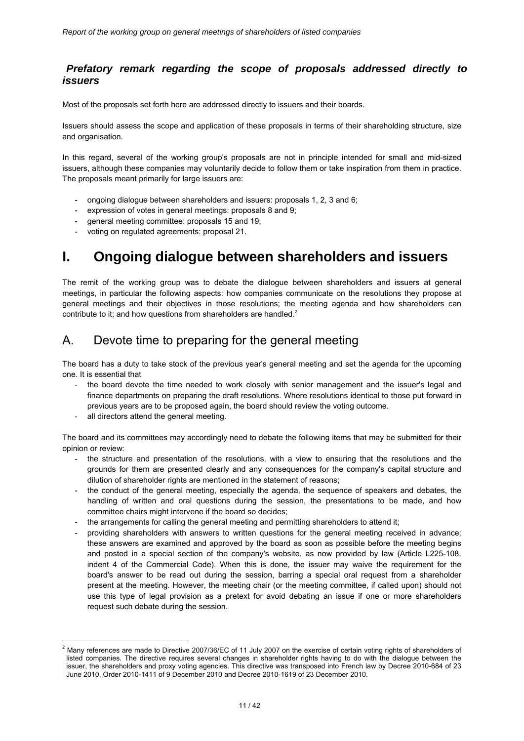## *Prefatory remark regarding the scope of proposals addressed directly to issuers*

Most of the proposals set forth here are addressed directly to issuers and their boards.

Issuers should assess the scope and application of these proposals in terms of their shareholding structure, size and organisation.

In this regard, several of the working group's proposals are not in principle intended for small and mid-sized issuers, although these companies may voluntarily decide to follow them or take inspiration from them in practice. The proposals meant primarily for large issuers are:

- ongoing dialogue between shareholders and issuers: proposals 1, 2, 3 and 6;
- expression of votes in general meetings: proposals 8 and 9;
- general meeting committee: proposals 15 and 19;
- voting on regulated agreements: proposal 21.

# **I. Ongoing dialogue between shareholders and issuers**

The remit of the working group was to debate the dialogue between shareholders and issuers at general meetings, in particular the following aspects: how companies communicate on the resolutions they propose at general meetings and their objectives in those resolutions; the meeting agenda and how shareholders can contribute to it; and how questions from shareholders are handled.<sup>2</sup>

## A. Devote time to preparing for the general meeting

The board has a duty to take stock of the previous year's general meeting and set the agenda for the upcoming one. It is essential that

- the board devote the time needed to work closely with senior management and the issuer's legal and finance departments on preparing the draft resolutions. Where resolutions identical to those put forward in previous years are to be proposed again, the board should review the voting outcome.
- all directors attend the general meeting.

-

The board and its committees may accordingly need to debate the following items that may be submitted for their opinion or review:

- the structure and presentation of the resolutions, with a view to ensuring that the resolutions and the grounds for them are presented clearly and any consequences for the company's capital structure and dilution of shareholder rights are mentioned in the statement of reasons;
- the conduct of the general meeting, especially the agenda, the sequence of speakers and debates, the handling of written and oral questions during the session, the presentations to be made, and how committee chairs might intervene if the board so decides;
- the arrangements for calling the general meeting and permitting shareholders to attend it;
- providing shareholders with answers to written questions for the general meeting received in advance; these answers are examined and approved by the board as soon as possible before the meeting begins and posted in a special section of the company's website, as now provided by law (Article L225-108, indent 4 of the Commercial Code). When this is done, the issuer may waive the requirement for the board's answer to be read out during the session, barring a special oral request from a shareholder present at the meeting. However, the meeting chair (or the meeting committee, if called upon) should not use this type of legal provision as a pretext for avoid debating an issue if one or more shareholders request such debate during the session.

 $^2$  Many references are made to Directive 2007/36/EC of 11 July 2007 on the exercise of certain voting rights of shareholders of listed companies. The directive requires several changes in shareholder rights having to do with the dialogue between the issuer, the shareholders and proxy voting agencies. This directive was transposed into French law by Decree 2010-684 of 23 June 2010, Order 2010-1411 of 9 December 2010 and Decree 2010-1619 of 23 December 2010.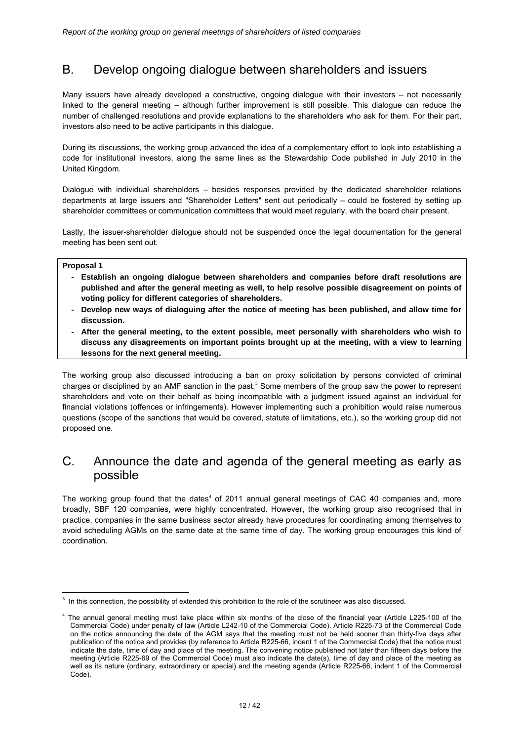## B. Develop ongoing dialogue between shareholders and issuers

Many issuers have already developed a constructive, ongoing dialogue with their investors – not necessarily linked to the general meeting – although further improvement is still possible. This dialogue can reduce the number of challenged resolutions and provide explanations to the shareholders who ask for them. For their part, investors also need to be active participants in this dialogue.

During its discussions, the working group advanced the idea of a complementary effort to look into establishing a code for institutional investors, along the same lines as the Stewardship Code published in July 2010 in the United Kingdom.

Dialogue with individual shareholders – besides responses provided by the dedicated shareholder relations departments at large issuers and "Shareholder Letters" sent out periodically – could be fostered by setting up shareholder committees or communication committees that would meet regularly, with the board chair present.

Lastly, the issuer-shareholder dialogue should not be suspended once the legal documentation for the general meeting has been sent out.

#### **Proposal 1**

- Establish an ongoing dialogue between shareholders and companies before draft resolutions are **published and after the general meeting as well, to help resolve possible disagreement on points of voting policy for different categories of shareholders.**
- Develop new ways of dialoguing after the notice of meeting has been published, and allow time for **discussion.**
- After the general meeting, to the extent possible, meet personally with shareholders who wish to **discuss any disagreements on important points brought up at the meeting, with a view to learning lessons for the next general meeting.**

The working group also discussed introducing a ban on proxy solicitation by persons convicted of criminal charges or disciplined by an AMF sanction in the past.<sup>3</sup> Some members of the group saw the power to represent shareholders and vote on their behalf as being incompatible with a judgment issued against an individual for financial violations (offences or infringements). However implementing such a prohibition would raise numerous questions (scope of the sanctions that would be covered, statute of limitations, etc.), so the working group did not proposed one.

## C. Announce the date and agenda of the general meeting as early as possible

The working group found that the dates<sup>4</sup> of 2011 annual general meetings of CAC 40 companies and, more broadly, SBF 120 companies, were highly concentrated. However, the working group also recognised that in practice, companies in the same business sector already have procedures for coordinating among themselves to avoid scheduling AGMs on the same date at the same time of day. The working group encourages this kind of coordination.

<sup>-</sup>3 In this connection, the possibility of extended this prohibition to the role of the scrutineer was also discussed.

<sup>4</sup> The annual general meeting must take place within six months of the close of the financial year (Article L225-100 of the Commercial Code) under penalty of law (Article L242-10 of the Commercial Code). Article R225-73 of the Commercial Code on the notice announcing the date of the AGM says that the meeting must not be held sooner than thirty-five days after publication of the notice and provides (by reference to Article R225-66, indent 1 of the Commercial Code) that the notice must indicate the date, time of day and place of the meeting. The convening notice published not later than fifteen days before the meeting (Article R225-69 of the Commercial Code) must also indicate the date(s), time of day and place of the meeting as well as its nature (ordinary, extraordinary or special) and the meeting agenda (Article R225-66, indent 1 of the Commercial Code).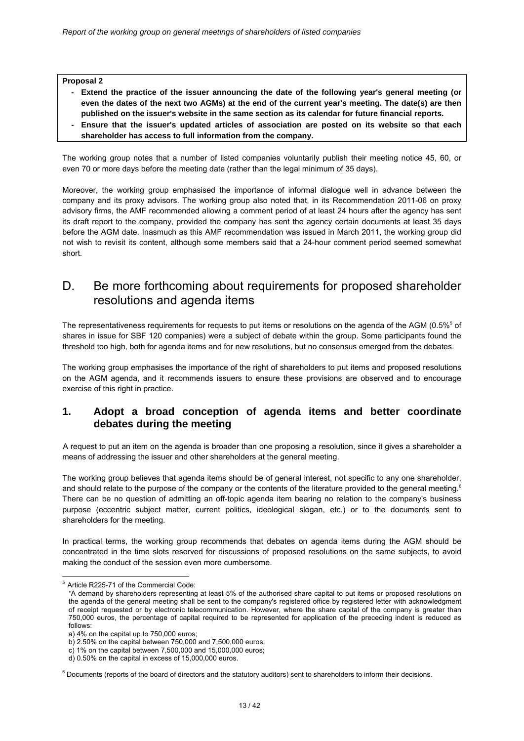- Extend the practice of the issuer announcing the date of the following year's general meeting (or **even the dates of the next two AGMs) at the end of the current year's meeting. The date(s) are then published on the issuer's website in the same section as its calendar for future financial reports.**
- Ensure that the issuer's updated articles of association are posted on its website so that each **shareholder has access to full information from the company.**

The working group notes that a number of listed companies voluntarily publish their meeting notice 45, 60, or even 70 or more days before the meeting date (rather than the legal minimum of 35 days).

Moreover, the working group emphasised the importance of informal dialogue well in advance between the company and its proxy advisors. The working group also noted that, in its Recommendation 2011-06 on proxy advisory firms, the AMF recommended allowing a comment period of at least 24 hours after the agency has sent its draft report to the company, provided the company has sent the agency certain documents at least 35 days before the AGM date. Inasmuch as this AMF recommendation was issued in March 2011, the working group did not wish to revisit its content, although some members said that a 24-hour comment period seemed somewhat short.

## D. Be more forthcoming about requirements for proposed shareholder resolutions and agenda items

The representativeness requirements for requests to put items or resolutions on the agenda of the AGM (0.5% $5$  of shares in issue for SBF 120 companies) were a subject of debate within the group. Some participants found the threshold too high, both for agenda items and for new resolutions, but no consensus emerged from the debates.

The working group emphasises the importance of the right of shareholders to put items and proposed resolutions on the AGM agenda, and it recommends issuers to ensure these provisions are observed and to encourage exercise of this right in practice.

## **1. Adopt a broad conception of agenda items and better coordinate debates during the meeting**

A request to put an item on the agenda is broader than one proposing a resolution, since it gives a shareholder a means of addressing the issuer and other shareholders at the general meeting.

The working group believes that agenda items should be of general interest, not specific to any one shareholder, and should relate to the purpose of the company or the contents of the literature provided to the general meeting.<sup>6</sup> There can be no question of admitting an off-topic agenda item bearing no relation to the company's business purpose (eccentric subject matter, current politics, ideological slogan, etc.) or to the documents sent to shareholders for the meeting.

In practical terms, the working group recommends that debates on agenda items during the AGM should be concentrated in the time slots reserved for discussions of proposed resolutions on the same subjects, to avoid making the conduct of the session even more cumbersome.

<sup>-</sup><sup>5</sup> Article R225-71 of the Commercial Code:

*<sup>&</sup>quot;*A demand by shareholders representing at least 5% of the authorised share capital to put items or proposed resolutions on the agenda of the general meeting shall be sent to the company's registered office by registered letter with acknowledgment of receipt requested or by electronic telecommunication. However, where the share capital of the company is greater than 750,000 euros, the percentage of capital required to be represented for application of the preceding indent is reduced as follows:

a) 4% on the capital up to 750,000 euros;

b) 2.50% on the capital between 750,000 and 7,500,000 euros;

c) 1% on the capital between 7,500,000 and 15,000,000 euros;

d) 0.50% on the capital in excess of 15,000,000 euros.

<sup>&</sup>lt;sup>6</sup> Documents (reports of the board of directors and the statutory auditors) sent to shareholders to inform their decisions.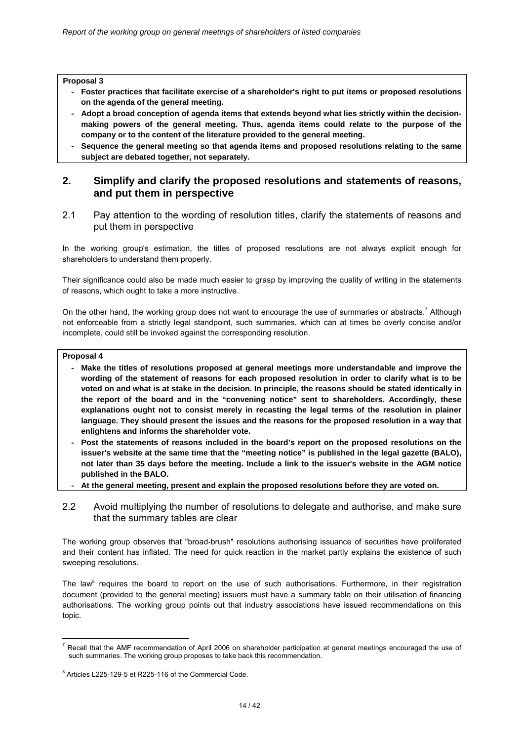- **Foster practices that facilitate exercise of a shareholder's right to put items or proposed resolutions on the agenda of the general meeting.**
- Adopt a broad conception of agenda items that extends beyond what lies strictly within the decision**making powers of the general meeting. Thus, agenda items could relate to the purpose of the company or to the content of the literature provided to the general meeting.**
- Sequence the general meeting so that agenda items and proposed resolutions relating to the same **subject are debated together, not separately.**

## **2. Simplify and clarify the proposed resolutions and statements of reasons, and put them in perspective**

2.1 Pay attention to the wording of resolution titles, clarify the statements of reasons and put them in perspective

In the working group's estimation, the titles of proposed resolutions are not always explicit enough for shareholders to understand them properly.

Their significance could also be made much easier to grasp by improving the quality of writing in the statements of reasons, which ought to take a more instructive.

On the other hand, the working group does not want to encourage the use of summaries or abstracts.<sup>7</sup> Although not enforceable from a strictly legal standpoint, such summaries, which can at times be overly concise and/or incomplete, could still be invoked against the corresponding resolution.

#### **Proposal 4**

- **Make the titles of resolutions proposed at general meetings more understandable and improve the wording of the statement of reasons for each proposed resolution in order to clarify what is to be voted on and what is at stake in the decision. In principle, the reasons should be stated identically in the report of the board and in the "convening notice" sent to shareholders. Accordingly, these explanations ought not to consist merely in recasting the legal terms of the resolution in plainer language. They should present the issues and the reasons for the proposed resolution in a way that enlightens and informs the shareholder vote.**
- Post the statements of reasons included in the board's report on the proposed resolutions on the **issuer's website at the same time that the "meeting notice" is published in the legal gazette (BALO), not later than 35 days before the meeting. Include a link to the issuer's website in the AGM notice published in the BALO.**
- **At the general meeting, present and explain the proposed resolutions before they are voted on.**
- 2.2 Avoid multiplying the number of resolutions to delegate and authorise, and make sure that the summary tables are clear

The working group observes that "broad-brush" resolutions authorising issuance of securities have proliferated and their content has inflated. The need for quick reaction in the market partly explains the existence of such sweeping resolutions.

The law<sup>8</sup> requires the board to report on the use of such authorisations. Furthermore, in their registration document (provided to the general meeting) issuers must have a summary table on their utilisation of financing authorisations. The working group points out that industry associations have issued recommendations on this topic.

<sup>&</sup>lt;u>.</u>  $<sup>7</sup>$  Recall that the AMF recommendation of April 2006 on shareholder participation at general meetings encouraged the use of</sup> such summaries. The working group proposes to take back this recommendation.

<sup>&</sup>lt;sup>8</sup> Articles L225-129-5 et R225-116 of the Commercial Code.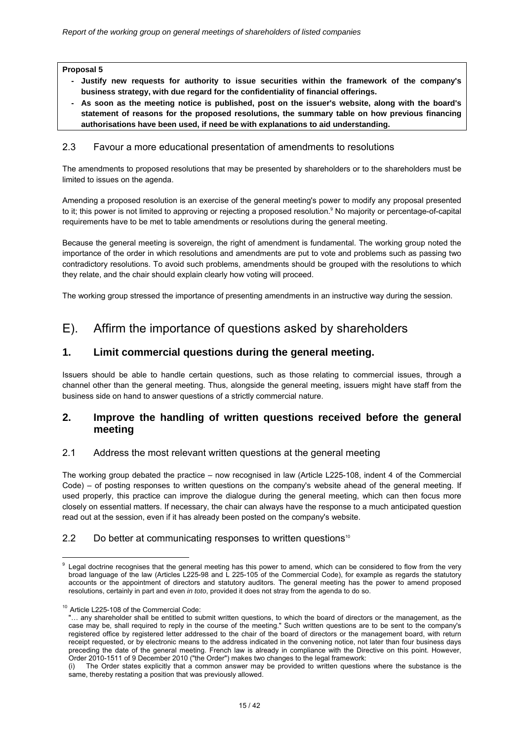- **Justify new requests for authority to issue securities within the framework of the company's business strategy, with due regard for the confidentiality of financial offerings.**
- **As soon as the meeting notice is published, post on the issuer's website, along with the board's statement of reasons for the proposed resolutions, the summary table on how previous financing authorisations have been used, if need be with explanations to aid understanding.**

### 2.3 Favour a more educational presentation of amendments to resolutions

The amendments to proposed resolutions that may be presented by shareholders or to the shareholders must be limited to issues on the agenda.

Amending a proposed resolution is an exercise of the general meeting's power to modify any proposal presented to it; this power is not limited to approving or rejecting a proposed resolution.<sup>9</sup> No majority or percentage-of-capital requirements have to be met to table amendments or resolutions during the general meeting.

Because the general meeting is sovereign, the right of amendment is fundamental. The working group noted the importance of the order in which resolutions and amendments are put to vote and problems such as passing two contradictory resolutions. To avoid such problems, amendments should be grouped with the resolutions to which they relate, and the chair should explain clearly how voting will proceed.

The working group stressed the importance of presenting amendments in an instructive way during the session.

## E). Affirm the importance of questions asked by shareholders

## **1. Limit commercial questions during the general meeting.**

Issuers should be able to handle certain questions, such as those relating to commercial issues, through a channel other than the general meeting. Thus, alongside the general meeting, issuers might have staff from the business side on hand to answer questions of a strictly commercial nature.

## **2. Improve the handling of written questions received before the general meeting**

## 2.1 Address the most relevant written questions at the general meeting

The working group debated the practice – now recognised in law (Article L225-108, indent 4 of the Commercial Code) – of posting responses to written questions on the company's website ahead of the general meeting. If used properly, this practice can improve the dialogue during the general meeting, which can then focus more closely on essential matters. If necessary, the chair can always have the response to a much anticipated question read out at the session, even if it has already been posted on the company's website.

## 2.2 Do better at communicating responses to written questions<sup>10</sup>

<sup>&</sup>lt;u>.</u> Legal doctrine recognises that the general meeting has this power to amend, which can be considered to flow from the very broad language of the law (Articles L225-98 and L 225-105 of the Commercial Code), for example as regards the statutory accounts or the appointment of directors and statutory auditors. The general meeting has the power to amend proposed resolutions, certainly in part and even *in toto*, provided it does not stray from the agenda to do so.

<sup>&</sup>lt;sup>10</sup> Article L225-108 of the Commercial Code:

<sup>&</sup>quot;… any shareholder shall be entitled to submit written questions, to which the board of directors or the management, as the case may be, shall required to reply in the course of the meeting." Such written questions are to be sent to the company's registered office by registered letter addressed to the chair of the board of directors or the management board, with return receipt requested, or by electronic means to the address indicated in the convening notice, not later than four business days preceding the date of the general meeting. French law is already in compliance with the Directive on this point. However, Order 2010-1511 of 9 December 2010 ("the Order") makes two changes to the legal framework:

The Order states explicitly that a common answer may be provided to written questions where the substance is the same, thereby restating a position that was previously allowed.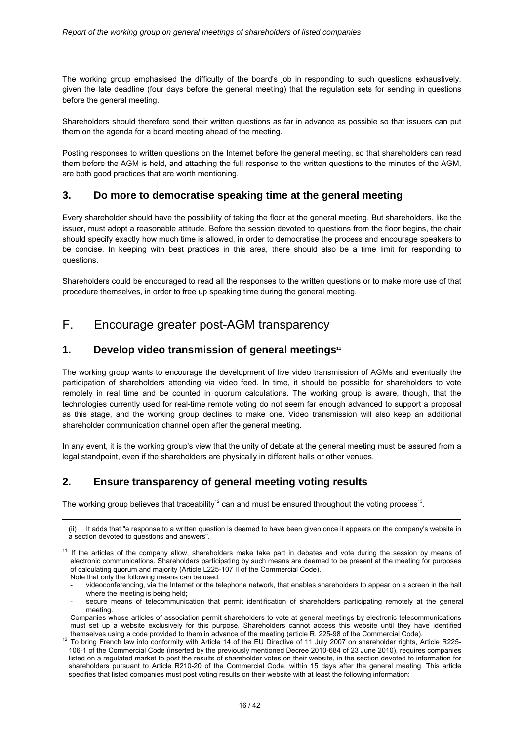The working group emphasised the difficulty of the board's job in responding to such questions exhaustively, given the late deadline (four days before the general meeting) that the regulation sets for sending in questions before the general meeting.

Shareholders should therefore send their written questions as far in advance as possible so that issuers can put them on the agenda for a board meeting ahead of the meeting.

Posting responses to written questions on the Internet before the general meeting, so that shareholders can read them before the AGM is held, and attaching the full response to the written questions to the minutes of the AGM, are both good practices that are worth mentioning.

## **3. Do more to democratise speaking time at the general meeting**

Every shareholder should have the possibility of taking the floor at the general meeting. But shareholders, like the issuer, must adopt a reasonable attitude. Before the session devoted to questions from the floor begins, the chair should specify exactly how much time is allowed, in order to democratise the process and encourage speakers to be concise. In keeping with best practices in this area, there should also be a time limit for responding to questions.

Shareholders could be encouraged to read all the responses to the written questions or to make more use of that procedure themselves, in order to free up speaking time during the general meeting.

## F. Encourage greater post-AGM transparency

## **1.** Develop video transmission of general meetings<sup>11</sup>

The working group wants to encourage the development of live video transmission of AGMs and eventually the participation of shareholders attending via video feed. In time, it should be possible for shareholders to vote remotely in real time and be counted in quorum calculations. The working group is aware, though, that the technologies currently used for real-time remote voting do not seem far enough advanced to support a proposal as this stage, and the working group declines to make one. Video transmission will also keep an additional shareholder communication channel open after the general meeting.

In any event, it is the working group's view that the unity of debate at the general meeting must be assured from a legal standpoint, even if the shareholders are physically in different halls or other venues.

## **2. Ensure transparency of general meeting voting results**

-

The working group believes that traceability<sup>12</sup> can and must be ensured throughout the voting process<sup>13</sup>.

<sup>(</sup>ii) It adds that "a response to a written question is deemed to have been given once it appears on the company's website in a section devoted to questions and answers".

<sup>&</sup>lt;sup>11</sup> If the articles of the company allow, shareholders make take part in debates and vote during the session by means of electronic communications. Shareholders participating by such means are deemed to be present at the meeting for purposes of calculating quorum and majority (Article L225-107 II of the Commercial Code). Note that only the following means can be used:

<sup>-</sup> videoconferencing, via the Internet or the telephone network, that enables shareholders to appear on a screen in the hall where the meeting is being held;

secure means of telecommunication that permit identification of shareholders participating remotely at the general meeting.

Companies whose articles of association permit shareholders to vote at general meetings by electronic telecommunications must set up a website exclusively for this purpose. Shareholders cannot access this website until they have identified

themselves using a code provided to them in advance of the meeting (article R. 225-98 of the Commercial Code).<br><sup>12</sup> To bring French law into conformity with Article 14 of the EU Directive of 11 July 2007 on shareholder rig 106-1 of the Commercial Code (inserted by the previously mentioned Decree 2010-684 of 23 June 2010), requires companies listed on a regulated market to post the results of shareholder votes on their website, in the section devoted to information for shareholders pursuant to Article R210-20 of the Commercial Code, within 15 days after the general meeting. This article specifies that listed companies must post voting results on their website with at least the following information: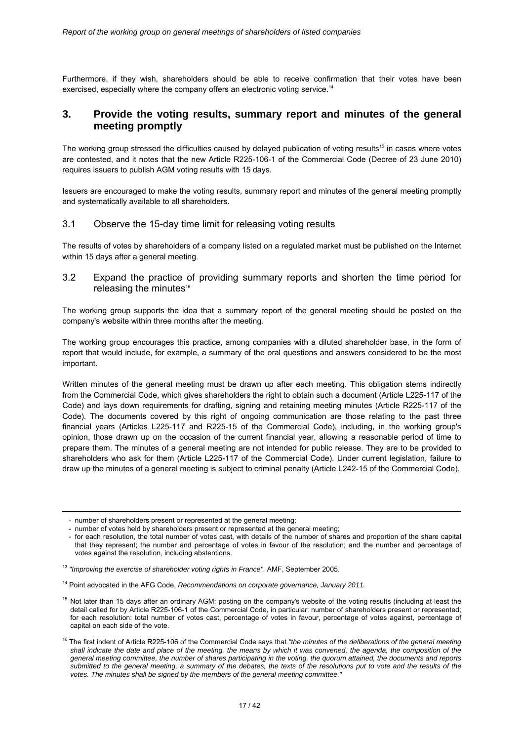Furthermore, if they wish, shareholders should be able to receive confirmation that their votes have been exercised, especially where the company offers an electronic voting service.<sup>14</sup>

## **3. Provide the voting results, summary report and minutes of the general meeting promptly**

The working group stressed the difficulties caused by delayed publication of voting results<sup>15</sup> in cases where votes are contested, and it notes that the new Article R225-106-1 of the Commercial Code (Decree of 23 June 2010) requires issuers to publish AGM voting results with 15 days.

Issuers are encouraged to make the voting results, summary report and minutes of the general meeting promptly and systematically available to all shareholders.

#### 3.1 Observe the 15-day time limit for releasing voting results

The results of votes by shareholders of a company listed on a regulated market must be published on the Internet within 15 days after a general meeting.

3.2 Expand the practice of providing summary reports and shorten the time period for releasing the minutes $16$ 

The working group supports the idea that a summary report of the general meeting should be posted on the company's website within three months after the meeting.

The working group encourages this practice, among companies with a diluted shareholder base, in the form of report that would include, for example, a summary of the oral questions and answers considered to be the most important.

Written minutes of the general meeting must be drawn up after each meeting. This obligation stems indirectly from the Commercial Code, which gives shareholders the right to obtain such a document (Article L225-117 of the Code) and lays down requirements for drafting, signing and retaining meeting minutes (Article R225-117 of the Code). The documents covered by this right of ongoing communication are those relating to the past three financial years (Articles L225-117 and R225-15 of the Commercial Code), including, in the working group's opinion, those drawn up on the occasion of the current financial year, allowing a reasonable period of time to prepare them. The minutes of a general meeting are not intended for public release. They are to be provided to shareholders who ask for them (Article L225-117 of the Commercial Code). Under current legislation, failure to draw up the minutes of a general meeting is subject to criminal penalty (Article L242-15 of the Commercial Code).

<u>.</u>

<sup>-</sup> number of shareholders present or represented at the general meeting;

<sup>-</sup> number of votes held by shareholders present or represented at the general meeting;

<sup>-</sup> for each resolution, the total number of votes cast, with details of the number of shares and proportion of the share capital that they represent; the number and percentage of votes in favour of the resolution; and the number and percentage of votes against the resolution, including abstentions.

<sup>13</sup> *"Improving the exercise of shareholder voting rights in France"*, AMF, September 2005.

<sup>14</sup> Point advocated in the AFG Code, *Recommendations on corporate governance, January 2011.* 

<sup>&</sup>lt;sup>15</sup> Not later than 15 days after an ordinary AGM: posting on the company's website of the voting results (including at least the detail called for by Article R225-106-1 of the Commercial Code, in particular: number of shareholders present or represented; for each resolution: total number of votes cast, percentage of votes in favour, percentage of votes against, percentage of capital on each side of the vote.

<sup>&</sup>lt;sup>16</sup> The first indent of Article R225-106 of the Commercial Code says that "the minutes of the deliberations of the general meeting *shall indicate the date and place of the meeting, the means by which it was convened, the agenda, the composition of the general meeting committee, the number of shares participating in the voting, the quorum attained, the documents and reports submitted to the general meeting, a summary of the debates, the texts of the resolutions put to vote and the results of the votes. The minutes shall be signed by the members of the general meeting committee."*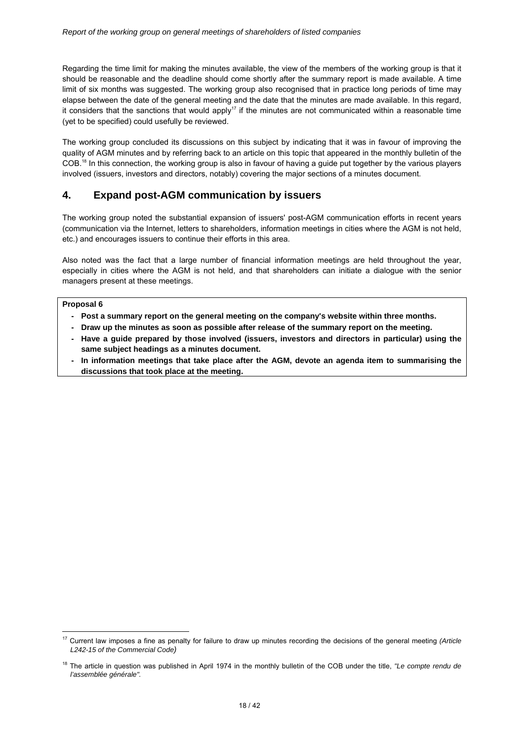Regarding the time limit for making the minutes available, the view of the members of the working group is that it should be reasonable and the deadline should come shortly after the summary report is made available. A time limit of six months was suggested. The working group also recognised that in practice long periods of time may elapse between the date of the general meeting and the date that the minutes are made available. In this regard, it considers that the sanctions that would apply<sup>17</sup> if the minutes are not communicated within a reasonable time (yet to be specified) could usefully be reviewed.

The working group concluded its discussions on this subject by indicating that it was in favour of improving the quality of AGM minutes and by referring back to an article on this topic that appeared in the monthly bulletin of the COB.18 In this connection, the working group is also in favour of having a guide put together by the various players involved (issuers, investors and directors, notably) covering the major sections of a minutes document.

## **4. Expand post-AGM communication by issuers**

The working group noted the substantial expansion of issuers' post-AGM communication efforts in recent years (communication via the Internet, letters to shareholders, information meetings in cities where the AGM is not held, etc.) and encourages issuers to continue their efforts in this area.

Also noted was the fact that a large number of financial information meetings are held throughout the year, especially in cities where the AGM is not held, and that shareholders can initiate a dialogue with the senior managers present at these meetings.

#### **Proposal 6**

- **Post a summary report on the general meeting on the company's website within three months.**
- **Draw up the minutes as soon as possible after release of the summary report on the meeting.**
- **Have a guide prepared by those involved (issuers, investors and directors in particular) using the same subject headings as a minutes document.**
- In information meetings that take place after the AGM, devote an agenda item to summarising the **discussions that took place at the meeting.**

<sup>&</sup>lt;u>.</u> 17 Current law imposes a fine as penalty for failure to draw up minutes recording the decisions of the general meeting *(Article L242-15 of the Commercial Code)* 

<sup>18</sup> The article in question was published in April 1974 in the monthly bulletin of the COB under the title, *"Le compte rendu de l'assemblée générale".*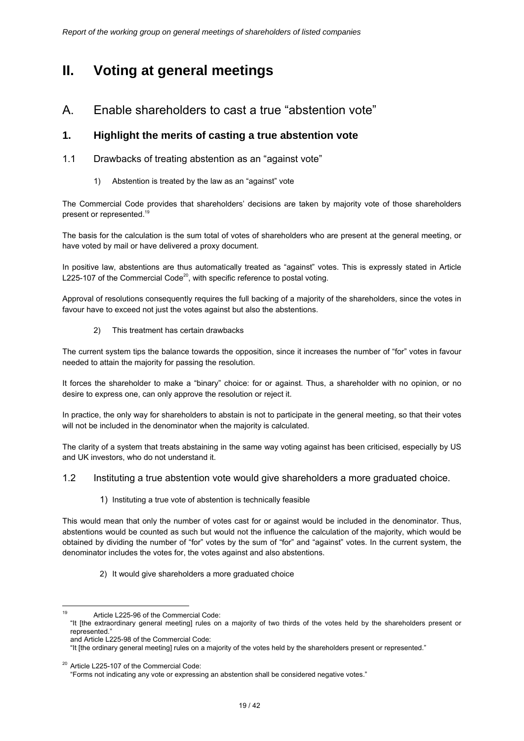# **II. Voting at general meetings**

## A. Enable shareholders to cast a true "abstention vote"

## **1. Highlight the merits of casting a true abstention vote**

- 1.1 Drawbacks of treating abstention as an "against vote"
	- 1) Abstention is treated by the law as an "against" vote

The Commercial Code provides that shareholders' decisions are taken by majority vote of those shareholders present or represented.<sup>19</sup>

The basis for the calculation is the sum total of votes of shareholders who are present at the general meeting, or have voted by mail or have delivered a proxy document.

In positive law, abstentions are thus automatically treated as "against" votes. This is expressly stated in Article L225-107 of the Commercial Code $^{20}$ , with specific reference to postal voting.

Approval of resolutions consequently requires the full backing of a majority of the shareholders, since the votes in favour have to exceed not just the votes against but also the abstentions.

2) This treatment has certain drawbacks

The current system tips the balance towards the opposition, since it increases the number of "for" votes in favour needed to attain the majority for passing the resolution.

It forces the shareholder to make a "binary" choice: for or against. Thus, a shareholder with no opinion, or no desire to express one, can only approve the resolution or reject it.

In practice, the only way for shareholders to abstain is not to participate in the general meeting, so that their votes will not be included in the denominator when the majority is calculated.

The clarity of a system that treats abstaining in the same way voting against has been criticised, especially by US and UK investors, who do not understand it.

- 1.2 Instituting a true abstention vote would give shareholders a more graduated choice.
	- 1) Instituting a true vote of abstention is technically feasible

This would mean that only the number of votes cast for or against would be included in the denominator. Thus, abstentions would be counted as such but would not the influence the calculation of the majority, which would be obtained by dividing the number of "for" votes by the sum of "for" and "against" votes. In the current system, the denominator includes the votes for, the votes against and also abstentions.

2) It would give shareholders a more graduated choice

<sup>19</sup> Article L225-96 of the Commercial Code:

<sup>&</sup>quot;It [the extraordinary general meeting] rules on a majority of two thirds of the votes held by the shareholders present or represented."

and Article L225-98 of the Commercial Code:

<sup>&</sup>quot;It [the ordinary general meeting] rules on a majority of the votes held by the shareholders present or represented."

<sup>&</sup>lt;sup>20</sup> Article L225-107 of the Commercial Code:

<sup>&</sup>quot;Forms not indicating any vote or expressing an abstention shall be considered negative votes."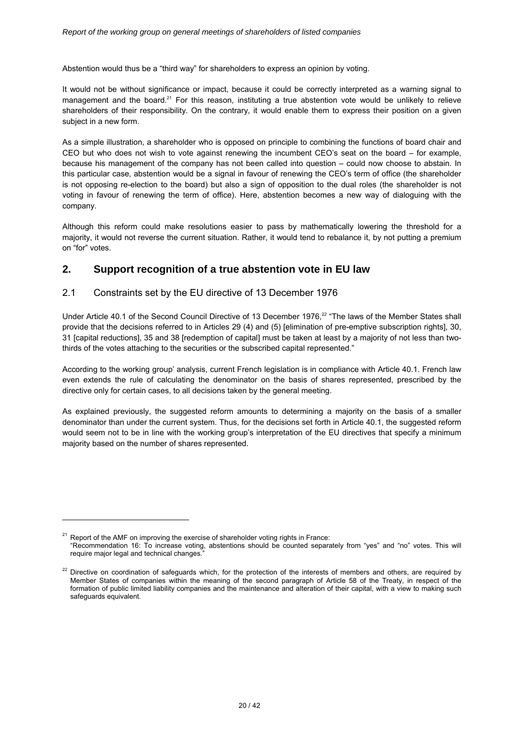Abstention would thus be a "third way" for shareholders to express an opinion by voting.

It would not be without significance or impact, because it could be correctly interpreted as a warning signal to management and the board.<sup>21</sup> For this reason, instituting a true abstention vote would be unlikely to relieve shareholders of their responsibility. On the contrary, it would enable them to express their position on a given subject in a new form.

As a simple illustration, a shareholder who is opposed on principle to combining the functions of board chair and CEO but who does not wish to vote against renewing the incumbent CEO's seat on the board – for example, because his management of the company has not been called into question – could now choose to abstain. In this particular case, abstention would be a signal in favour of renewing the CEO's term of office (the shareholder is not opposing re-election to the board) but also a sign of opposition to the dual roles (the shareholder is not voting in favour of renewing the term of office). Here, abstention becomes a new way of dialoguing with the company.

Although this reform could make resolutions easier to pass by mathematically lowering the threshold for a majority, it would not reverse the current situation. Rather, it would tend to rebalance it, by not putting a premium on "for" votes.

## **2. Support recognition of a true abstention vote in EU law**

### 2.1 Constraints set by the EU directive of 13 December 1976

-

Under Article 40.1 of the Second Council Directive of 13 December 1976.<sup>22</sup> "The laws of the Member States shall provide that the decisions referred to in Articles 29 (4) and (5) [elimination of pre-emptive subscription rights], 30, 31 [capital reductions], 35 and 38 [redemption of capital] must be taken at least by a majority of not less than twothirds of the votes attaching to the securities or the subscribed capital represented."

According to the working group' analysis, current French legislation is in compliance with Article 40.1. French law even extends the rule of calculating the denominator on the basis of shares represented, prescribed by the directive only for certain cases, to all decisions taken by the general meeting.

As explained previously, the suggested reform amounts to determining a majority on the basis of a smaller denominator than under the current system. Thus, for the decisions set forth in Article 40.1, the suggested reform would seem not to be in line with the working group's interpretation of the EU directives that specify a minimum majority based on the number of shares represented.

 $21$  Report of the AMF on improving the exercise of shareholder voting rights in France: "Recommendation 16: To increase voting, abstentions should be counted separately from "yes" and "no" votes. This will require major legal and technical changes."

<sup>&</sup>lt;sup>22</sup> Directive on coordination of safeguards which, for the protection of the interests of members and others, are required by Member States of companies within the meaning of the second paragraph of Article 58 of the Treaty, in respect of the formation of public limited liability companies and the maintenance and alteration of their capital, with a view to making such safeguards equivalent.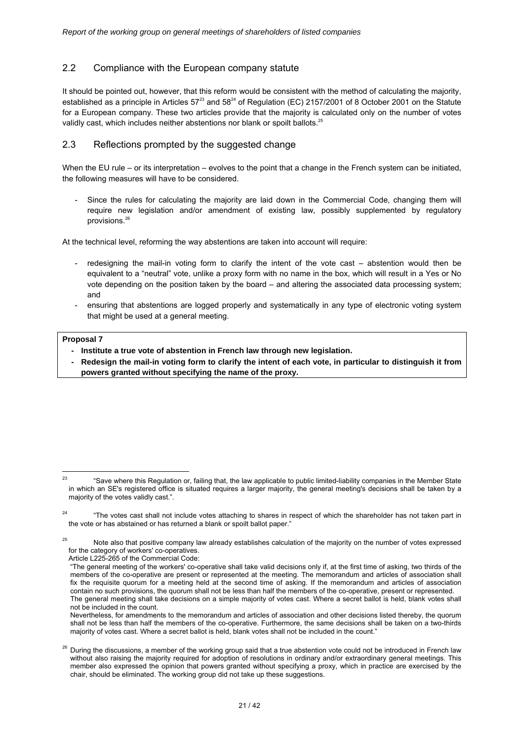## 2.2 Compliance with the European company statute

It should be pointed out, however, that this reform would be consistent with the method of calculating the majority, established as a principle in Articles  $57^{23}$  and  $58^{24}$  of Regulation (EC) 2157/2001 of 8 October 2001 on the Statute for a European company. These two articles provide that the majority is calculated only on the number of votes validly cast, which includes neither abstentions nor blank or spoilt ballots.<sup>25</sup>

### 2.3 Reflections prompted by the suggested change

When the EU rule – or its interpretation – evolves to the point that a change in the French system can be initiated, the following measures will have to be considered.

Since the rules for calculating the majority are laid down in the Commercial Code, changing them will require new legislation and/or amendment of existing law, possibly supplemented by regulatory provisions.<sup>26</sup>

At the technical level, reforming the way abstentions are taken into account will require:

- redesigning the mail-in voting form to clarify the intent of the vote cast abstention would then be equivalent to a "neutral" vote, unlike a proxy form with no name in the box, which will result in a Yes or No vote depending on the position taken by the board – and altering the associated data processing system; and
- ensuring that abstentions are logged properly and systematically in any type of electronic voting system that might be used at a general meeting.

#### **Proposal 7**

- **Institute a true vote of abstention in French law through new legislation.**
- Redesign the mail-in voting form to clarify the intent of each vote, in particular to distinguish it from **powers granted without specifying the name of the proxy.**

 $23$ "Save where this Regulation or, failing that, the law applicable to public limited-liability companies in the Member State in which an SE's registered office is situated requires a larger majority, the general meeting's decisions shall be taken by a majority of the votes validly cast.".

<sup>&</sup>lt;sup>24</sup> "The votes cast shall not include votes attaching to shares in respect of which the shareholder has not taken part in the vote or has abstained or has returned a blank or spoilt ballot paper."

 $25$  Note also that positive company law already establishes calculation of the majority on the number of votes expressed for the category of workers' co-operatives.

Article L225-265 of the Commercial Code:

<sup>&</sup>quot;The general meeting of the workers' co-operative shall take valid decisions only if, at the first time of asking, two thirds of the members of the co-operative are present or represented at the meeting. The memorandum and articles of association shall fix the requisite quorum for a meeting held at the second time of asking. If the memorandum and articles of association contain no such provisions, the quorum shall not be less than half the members of the co-operative, present or represented. The general meeting shall take decisions on a simple majority of votes cast. Where a secret ballot is held, blank votes shall not be included in the count.

Nevertheless, for amendments to the memorandum and articles of association and other decisions listed thereby, the quorum shall not be less than half the members of the co-operative. Furthermore, the same decisions shall be taken on a two-thirds majority of votes cast. Where a secret ballot is held, blank votes shall not be included in the count."

 $26$  During the discussions, a member of the working group said that a true abstention vote could not be introduced in French law without also raising the majority required for adoption of resolutions in ordinary and/or extraordinary general meetings. This member also expressed the opinion that powers granted without specifying a proxy, which in practice are exercised by the chair, should be eliminated. The working group did not take up these suggestions.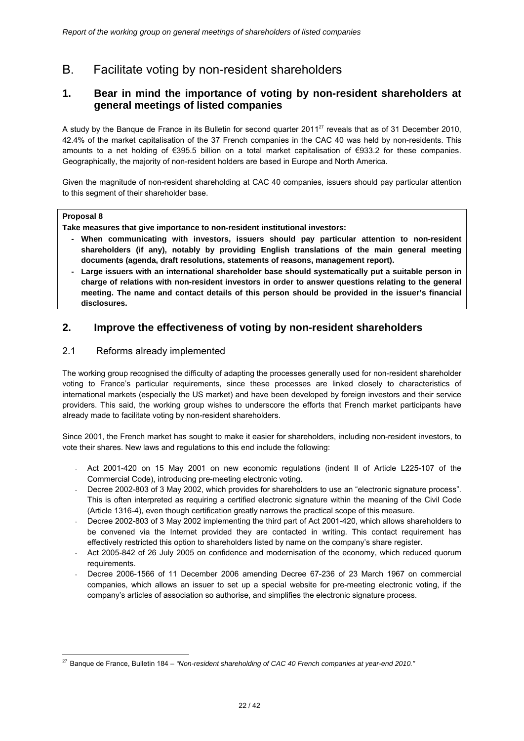B. Facilitate voting by non-resident shareholders

## **1. Bear in mind the importance of voting by non-resident shareholders at general meetings of listed companies**

A study by the Banque de France in its Bulletin for second quarter 201127 reveals that as of 31 December 2010, 42.4% of the market capitalisation of the 37 French companies in the CAC 40 was held by non-residents. This amounts to a net holding of €395.5 billion on a total market capitalisation of €933.2 for these companies. Geographically, the majority of non-resident holders are based in Europe and North America.

Given the magnitude of non-resident shareholding at CAC 40 companies, issuers should pay particular attention to this segment of their shareholder base.

#### **Proposal 8**

**Take measures that give importance to non-resident institutional investors:** 

- **When communicating with investors, issuers should pay particular attention to non-resident shareholders (if any), notably by providing English translations of the main general meeting documents (agenda, draft resolutions, statements of reasons, management report).**
- Large issuers with an international shareholder base should systematically put a suitable person in **charge of relations with non-resident investors in order to answer questions relating to the general meeting. The name and contact details of this person should be provided in the issuer's financial disclosures.**

## **2. Improve the effectiveness of voting by non-resident shareholders**

### 2.1 Reforms already implemented

The working group recognised the difficulty of adapting the processes generally used for non-resident shareholder voting to France's particular requirements, since these processes are linked closely to characteristics of international markets (especially the US market) and have been developed by foreign investors and their service providers. This said, the working group wishes to underscore the efforts that French market participants have already made to facilitate voting by non-resident shareholders.

Since 2001, the French market has sought to make it easier for shareholders, including non-resident investors, to vote their shares. New laws and regulations to this end include the following:

- Act 2001-420 on 15 May 2001 on new economic regulations (indent II of Article L225-107 of the Commercial Code), introducing pre-meeting electronic voting.
- Decree 2002-803 of 3 May 2002, which provides for shareholders to use an "electronic signature process". This is often interpreted as requiring a certified electronic signature within the meaning of the Civil Code (Article 1316-4), even though certification greatly narrows the practical scope of this measure.
- Decree 2002-803 of 3 May 2002 implementing the third part of Act 2001-420, which allows shareholders to be convened via the Internet provided they are contacted in writing. This contact requirement has effectively restricted this option to shareholders listed by name on the company's share register.
- Act 2005-842 of 26 July 2005 on confidence and modernisation of the economy, which reduced quorum requirements.
- Decree 2006-1566 of 11 December 2006 amending Decree 67-236 of 23 March 1967 on commercial companies, which allows an issuer to set up a special website for pre-meeting electronic voting, if the company's articles of association so authorise, and simplifies the electronic signature process.

<sup>-</sup><sup>27</sup> Banque de France, Bulletin 184 – "Non-resident shareholding of CAC 40 French companies at year-end 2010."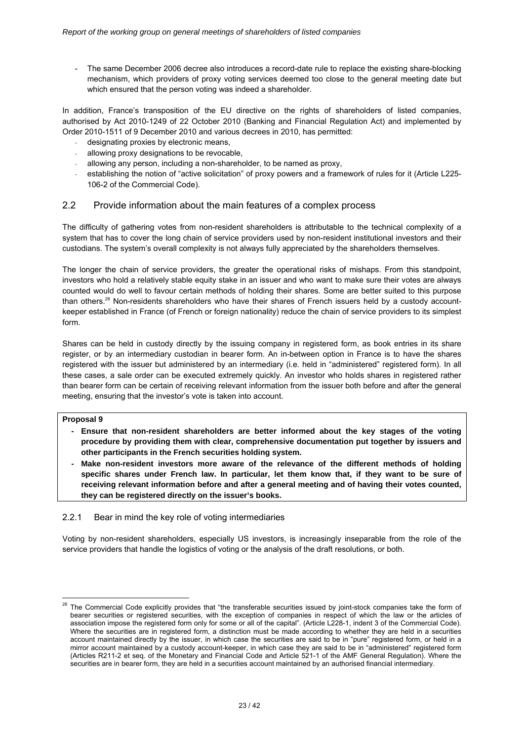The same December 2006 decree also introduces a record-date rule to replace the existing share-blocking mechanism, which providers of proxy voting services deemed too close to the general meeting date but which ensured that the person voting was indeed a shareholder.

In addition, France's transposition of the EU directive on the rights of shareholders of listed companies, authorised by Act 2010-1249 of 22 October 2010 (Banking and Financial Regulation Act) and implemented by Order 2010-1511 of 9 December 2010 and various decrees in 2010, has permitted:

- designating proxies by electronic means,
- allowing proxy designations to be revocable,
- allowing any person, including a non-shareholder, to be named as proxy,
- establishing the notion of "active solicitation" of proxy powers and a framework of rules for it (Article L225-106-2 of the Commercial Code).

### 2.2 Provide information about the main features of a complex process

The difficulty of gathering votes from non-resident shareholders is attributable to the technical complexity of a system that has to cover the long chain of service providers used by non-resident institutional investors and their custodians. The system's overall complexity is not always fully appreciated by the shareholders themselves.

The longer the chain of service providers, the greater the operational risks of mishaps. From this standpoint, investors who hold a relatively stable equity stake in an issuer and who want to make sure their votes are always counted would do well to favour certain methods of holding their shares. Some are better suited to this purpose than others.28 Non-residents shareholders who have their shares of French issuers held by a custody accountkeeper established in France (of French or foreign nationality) reduce the chain of service providers to its simplest form.

Shares can be held in custody directly by the issuing company in registered form, as book entries in its share register, or by an intermediary custodian in bearer form. An in-between option in France is to have the shares registered with the issuer but administered by an intermediary (i.e. held in "administered" registered form). In all these cases, a sale order can be executed extremely quickly. An investor who holds shares in registered rather than bearer form can be certain of receiving relevant information from the issuer both before and after the general meeting, ensuring that the investor's vote is taken into account.

#### **Proposal 9**

-

- **Ensure that non-resident shareholders are better informed about the key stages of the voting procedure by providing them with clear, comprehensive documentation put together by issuers and other participants in the French securities holding system.**
- Make non-resident investors more aware of the relevance of the different methods of holding **specific shares under French law. In particular, let them know that, if they want to be sure of receiving relevant information before and after a general meeting and of having their votes counted, they can be registered directly on the issuer's books.**

#### 2.2.1 Bear in mind the key role of voting intermediaries

Voting by non-resident shareholders, especially US investors, is increasingly inseparable from the role of the service providers that handle the logistics of voting or the analysis of the draft resolutions, or both.

<sup>&</sup>lt;sup>28</sup> The Commercial Code explicitly provides that "the transferable securities issued by joint-stock companies take the form of bearer securities or registered securities, with the exception of companies in respect of which the law or the articles of association impose the registered form only for some or all of the capital". (Article L228-1, indent 3 of the Commercial Code). Where the securities are in registered form, a distinction must be made according to whether they are held in a securities account maintained directly by the issuer, in which case the securities are said to be in "pure" registered form, or held in a mirror account maintained by a custody account-keeper, in which case they are said to be in "administered" registered form (Articles R211-2 et seq. of the Monetary and Financial Code and Article 521-1 of the AMF General Regulation). Where the securities are in bearer form, they are held in a securities account maintained by an authorised financial intermediary.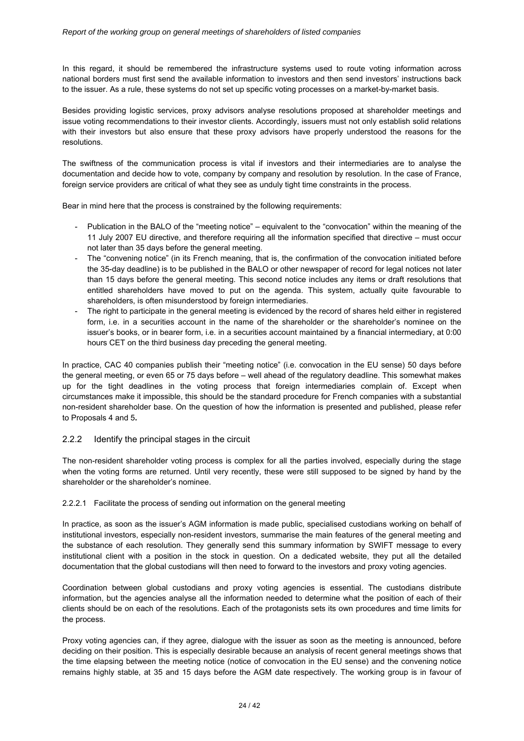In this regard, it should be remembered the infrastructure systems used to route voting information across national borders must first send the available information to investors and then send investors' instructions back to the issuer. As a rule, these systems do not set up specific voting processes on a market-by-market basis.

Besides providing logistic services, proxy advisors analyse resolutions proposed at shareholder meetings and issue voting recommendations to their investor clients. Accordingly, issuers must not only establish solid relations with their investors but also ensure that these proxy advisors have properly understood the reasons for the resolutions.

The swiftness of the communication process is vital if investors and their intermediaries are to analyse the documentation and decide how to vote, company by company and resolution by resolution. In the case of France, foreign service providers are critical of what they see as unduly tight time constraints in the process.

Bear in mind here that the process is constrained by the following requirements:

- Publication in the BALO of the "meeting notice" equivalent to the "convocation" within the meaning of the 11 July 2007 EU directive, and therefore requiring all the information specified that directive – must occur not later than 35 days before the general meeting.
- The "convening notice" (in its French meaning, that is, the confirmation of the convocation initiated before the 35-day deadline) is to be published in the BALO or other newspaper of record for legal notices not later than 15 days before the general meeting. This second notice includes any items or draft resolutions that entitled shareholders have moved to put on the agenda. This system, actually quite favourable to shareholders, is often misunderstood by foreign intermediaries.
- The right to participate in the general meeting is evidenced by the record of shares held either in registered form, i.e. in a securities account in the name of the shareholder or the shareholder's nominee on the issuer's books, or in bearer form, i.e. in a securities account maintained by a financial intermediary, at 0:00 hours CET on the third business day preceding the general meeting.

In practice, CAC 40 companies publish their "meeting notice" (i.e. convocation in the EU sense) 50 days before the general meeting, or even 65 or 75 days before – well ahead of the regulatory deadline. This somewhat makes up for the tight deadlines in the voting process that foreign intermediaries complain of. Except when circumstances make it impossible, this should be the standard procedure for French companies with a substantial non-resident shareholder base. On the question of how the information is presented and published, please refer to Proposals 4 and 5**.** 

#### 2.2.2 Identify the principal stages in the circuit

The non-resident shareholder voting process is complex for all the parties involved, especially during the stage when the voting forms are returned. Until very recently, these were still supposed to be signed by hand by the shareholder or the shareholder's nominee.

#### 2.2.2.1 Facilitate the process of sending out information on the general meeting

In practice, as soon as the issuer's AGM information is made public, specialised custodians working on behalf of institutional investors, especially non-resident investors, summarise the main features of the general meeting and the substance of each resolution. They generally send this summary information by SWIFT message to every institutional client with a position in the stock in question. On a dedicated website, they put all the detailed documentation that the global custodians will then need to forward to the investors and proxy voting agencies.

Coordination between global custodians and proxy voting agencies is essential. The custodians distribute information, but the agencies analyse all the information needed to determine what the position of each of their clients should be on each of the resolutions. Each of the protagonists sets its own procedures and time limits for the process.

Proxy voting agencies can, if they agree, dialogue with the issuer as soon as the meeting is announced, before deciding on their position. This is especially desirable because an analysis of recent general meetings shows that the time elapsing between the meeting notice (notice of convocation in the EU sense) and the convening notice remains highly stable, at 35 and 15 days before the AGM date respectively. The working group is in favour of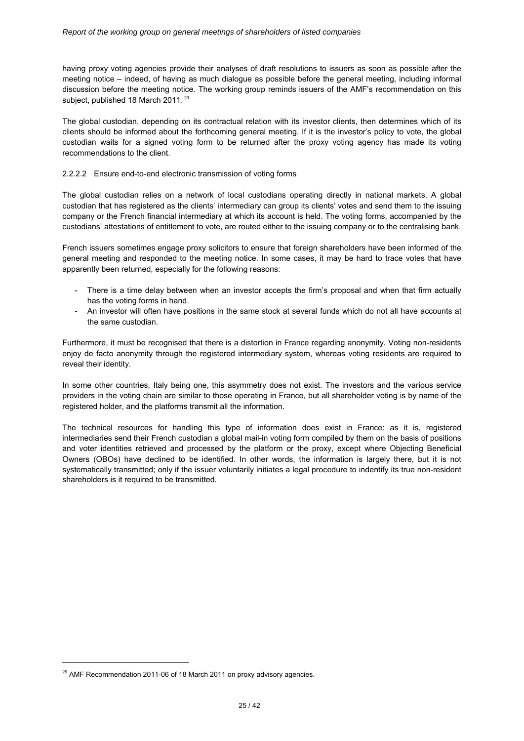having proxy voting agencies provide their analyses of draft resolutions to issuers as soon as possible after the meeting notice – indeed, of having as much dialogue as possible before the general meeting, including informal discussion before the meeting notice. The working group reminds issuers of the AMF's recommendation on this subject, published 18 March 2011.<sup>29</sup>

The global custodian, depending on its contractual relation with its investor clients, then determines which of its clients should be informed about the forthcoming general meeting. If it is the investor's policy to vote, the global custodian waits for a signed voting form to be returned after the proxy voting agency has made its voting recommendations to the client.

#### 2.2.2.2 Ensure end-to-end electronic transmission of voting forms

The global custodian relies on a network of local custodians operating directly in national markets. A global custodian that has registered as the clients' intermediary can group its clients' votes and send them to the issuing company or the French financial intermediary at which its account is held. The voting forms, accompanied by the custodians' attestations of entitlement to vote, are routed either to the issuing company or to the centralising bank.

French issuers sometimes engage proxy solicitors to ensure that foreign shareholders have been informed of the general meeting and responded to the meeting notice. In some cases, it may be hard to trace votes that have apparently been returned, especially for the following reasons:

- There is a time delay between when an investor accepts the firm's proposal and when that firm actually has the voting forms in hand.
- An investor will often have positions in the same stock at several funds which do not all have accounts at the same custodian.

Furthermore, it must be recognised that there is a distortion in France regarding anonymity. Voting non-residents enjoy de facto anonymity through the registered intermediary system, whereas voting residents are required to reveal their identity.

In some other countries, Italy being one, this asymmetry does not exist. The investors and the various service providers in the voting chain are similar to those operating in France, but all shareholder voting is by name of the registered holder, and the platforms transmit all the information.

The technical resources for handling this type of information does exist in France: as it is, registered intermediaries send their French custodian a global mail-in voting form compiled by them on the basis of positions and voter identities retrieved and processed by the platform or the proxy, except where Objecting Beneficial Owners (OBOs) have declined to be identified. In other words, the information is largely there, but it is not systematically transmitted; only if the issuer voluntarily initiates a legal procedure to indentify its true non-resident shareholders is it required to be transmitted.

<u>.</u>

<sup>&</sup>lt;sup>29</sup> AMF Recommendation 2011-06 of 18 March 2011 on proxy advisory agencies.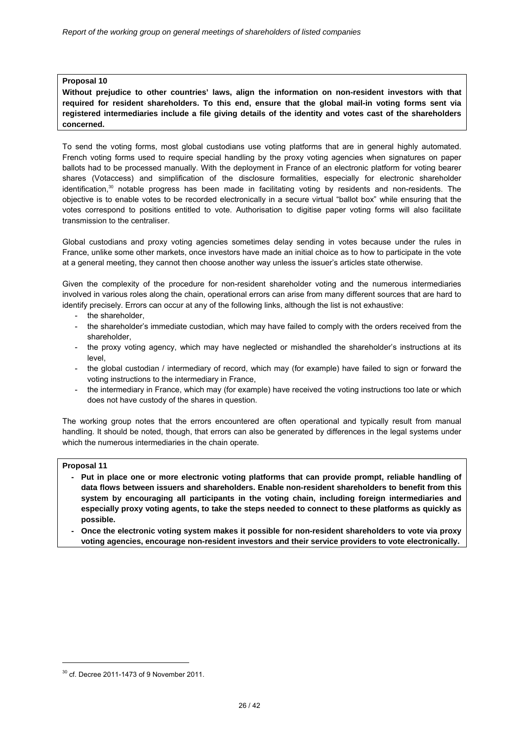**Without prejudice to other countries' laws, align the information on non-resident investors with that required for resident shareholders. To this end, ensure that the global mail-in voting forms sent via registered intermediaries include a file giving details of the identity and votes cast of the shareholders concerned.** 

To send the voting forms, most global custodians use voting platforms that are in general highly automated. French voting forms used to require special handling by the proxy voting agencies when signatures on paper ballots had to be processed manually. With the deployment in France of an electronic platform for voting bearer shares (Votaccess) and simplification of the disclosure formalities, especially for electronic shareholder identification, $30$  notable progress has been made in facilitating voting by residents and non-residents. The objective is to enable votes to be recorded electronically in a secure virtual "ballot box" while ensuring that the votes correspond to positions entitled to vote. Authorisation to digitise paper voting forms will also facilitate transmission to the centraliser.

Global custodians and proxy voting agencies sometimes delay sending in votes because under the rules in France, unlike some other markets, once investors have made an initial choice as to how to participate in the vote at a general meeting, they cannot then choose another way unless the issuer's articles state otherwise.

Given the complexity of the procedure for non-resident shareholder voting and the numerous intermediaries involved in various roles along the chain, operational errors can arise from many different sources that are hard to identify precisely. Errors can occur at any of the following links, although the list is not exhaustive:

- the shareholder,
- the shareholder's immediate custodian, which may have failed to comply with the orders received from the shareholder,
- the proxy voting agency, which may have neglected or mishandled the shareholder's instructions at its level,
- the global custodian / intermediary of record, which may (for example) have failed to sign or forward the voting instructions to the intermediary in France,
- the intermediary in France, which may (for example) have received the voting instructions too late or which does not have custody of the shares in question.

The working group notes that the errors encountered are often operational and typically result from manual handling. It should be noted, though, that errors can also be generated by differences in the legal systems under which the numerous intermediaries in the chain operate.

#### **Proposal 11**

<u>.</u>

- **Put in place one or more electronic voting platforms that can provide prompt, reliable handling of data flows between issuers and shareholders. Enable non-resident shareholders to benefit from this system by encouraging all participants in the voting chain, including foreign intermediaries and especially proxy voting agents, to take the steps needed to connect to these platforms as quickly as possible.**
- Once the electronic voting system makes it possible for non-resident shareholders to vote via proxy **voting agencies, encourage non-resident investors and their service providers to vote electronically.**

 $30$  cf. Decree 2011-1473 of 9 November 2011.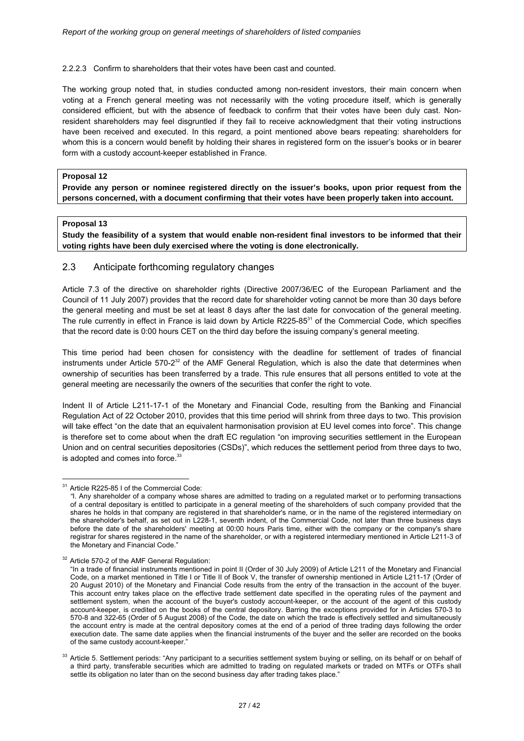#### 2.2.2.3 Confirm to shareholders that their votes have been cast and counted.

The working group noted that, in studies conducted among non-resident investors, their main concern when voting at a French general meeting was not necessarily with the voting procedure itself, which is generally considered efficient, but with the absence of feedback to confirm that their votes have been duly cast. Nonresident shareholders may feel disgruntled if they fail to receive acknowledgment that their voting instructions have been received and executed. In this regard, a point mentioned above bears repeating: shareholders for whom this is a concern would benefit by holding their shares in registered form on the issuer's books or in bearer form with a custody account-keeper established in France.

#### **Proposal 12**

**Provide any person or nominee registered directly on the issuer's books, upon prior request from the persons concerned, with a document confirming that their votes have been properly taken into account.** 

#### **Proposal 13**

**Study the feasibility of a system that would enable non-resident final investors to be informed that their voting rights have been duly exercised where the voting is done electronically.** 

### 2.3 Anticipate forthcoming regulatory changes

Article 7.3 of the directive on shareholder rights (Directive 2007/36/EC of the European Parliament and the Council of 11 July 2007) provides that the record date for shareholder voting cannot be more than 30 days before the general meeting and must be set at least 8 days after the last date for convocation of the general meeting. The rule currently in effect in France is laid down by Article R225-85 $31$  of the Commercial Code, which specifies that the record date is 0:00 hours CET on the third day before the issuing company's general meeting.

This time period had been chosen for consistency with the deadline for settlement of trades of financial instruments under Article 570-2<sup>32</sup> of the AMF General Regulation, which is also the date that determines when ownership of securities has been transferred by a trade. This rule ensures that all persons entitled to vote at the general meeting are necessarily the owners of the securities that confer the right to vote.

Indent II of Article L211-17-1 of the Monetary and Financial Code, resulting from the Banking and Financial Regulation Act of 22 October 2010, provides that this time period will shrink from three days to two. This provision will take effect "on the date that an equivalent harmonisation provision at EU level comes into force". This change is therefore set to come about when the draft EC regulation "on improving securities settlement in the European Union and on central securities depositories (CSDs)", which reduces the settlement period from three days to two, is adopted and comes into force.<sup>33</sup>

<sup>&</sup>lt;u>.</u> <sup>31</sup> Article R225-85 I of the Commercial Code:

*<sup>&</sup>quot;*I. Any shareholder of a company whose shares are admitted to trading on a regulated market or to performing transactions of a central depositary is entitled to participate in a general meeting of the shareholders of such company provided that the shares he holds in that company are registered in that shareholder's name, or in the name of the registered intermediary on the shareholder's behalf, as set out in L228-1, seventh indent, of the Commercial Code, not later than three business days before the date of the shareholders' meeting at 00:00 hours Paris time, either with the company or the company's share registrar for shares registered in the name of the shareholder, or with a registered intermediary mentioned in Article L211-3 of the Monetary and Financial Code."

<sup>&</sup>lt;sup>32</sup> Article 570-2 of the AMF General Regulation:

<sup>&</sup>quot;In a trade of financial instruments mentioned in point II (Order of 30 July 2009) of Article L211 of the Monetary and Financial Code, on a market mentioned in Title I or Title II of Book V, the transfer of ownership mentioned in Article L211-17 (Order of 20 August 2010) of the Monetary and Financial Code results from the entry of the transaction in the account of the buyer. This account entry takes place on the effective trade settlement date specified in the operating rules of the payment and settlement system, when the account of the buyer's custody account-keeper, or the account of the agent of this custody account-keeper, is credited on the books of the central depository. Barring the exceptions provided for in Articles 570-3 to 570-8 and 322-65 (Order of 5 August 2008) of the Code, the date on which the trade is effectively settled and simultaneously the account entry is made at the central depository comes at the end of a period of three trading days following the order execution date. The same date applies when the financial instruments of the buyer and the seller are recorded on the books of the same custody account-keeper."

<sup>&</sup>lt;sup>33</sup> Article 5. Settlement periods: "Any participant to a securities settlement system buying or selling, on its behalf or on behalf of a third party, transferable securities which are admitted to trading on regulated markets or traded on MTFs or OTFs shall settle its obligation no later than on the second business day after trading takes place."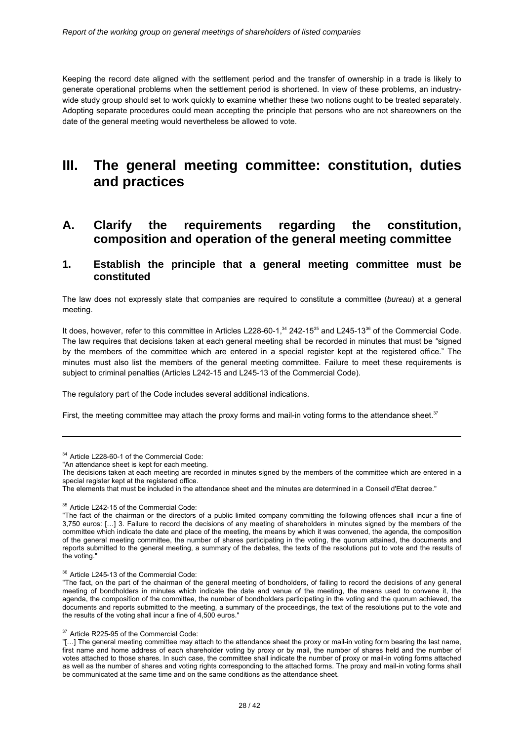Keeping the record date aligned with the settlement period and the transfer of ownership in a trade is likely to generate operational problems when the settlement period is shortened. In view of these problems, an industrywide study group should set to work quickly to examine whether these two notions ought to be treated separately. Adopting separate procedures could mean accepting the principle that persons who are not shareowners on the date of the general meeting would nevertheless be allowed to vote.

## **III. The general meeting committee: constitution, duties and practices**

## **A. Clarify the requirements regarding the constitution, composition and operation of the general meeting committee**

## **1. Establish the principle that a general meeting committee must be constituted**

The law does not expressly state that companies are required to constitute a committee (*bureau*) at a general meeting.

It does, however, refer to this committee in Articles L228-60-1, $34$  242-15 $35$  and L245-13 $36$  of the Commercial Code. The law requires that decisions taken at each general meeting shall be recorded in minutes that must be *"*signed by the members of the committee which are entered in a special register kept at the registered office." The minutes must also list the members of the general meeting committee. Failure to meet these requirements is subject to criminal penalties (Articles L242-15 and L245-13 of the Commercial Code).

The regulatory part of the Code includes several additional indications.

First, the meeting committee may attach the proxy forms and mail-in voting forms to the attendance sheet.<sup>37</sup>

<u>.</u>

<sup>34</sup> Article L228-60-1 of the Commercial Code:

<sup>&</sup>quot;An attendance sheet is kept for each meeting.

The decisions taken at each meeting are recorded in minutes signed by the members of the committee which are entered in a special register kept at the registered office.

The elements that must be included in the attendance sheet and the minutes are determined in a Conseil d'Etat decree."

<sup>&</sup>lt;sup>35</sup> Article L242-15 of the Commercial Code:

<sup>&</sup>quot;The fact of the chairman or the directors of a public limited company committing the following offences shall incur a fine of 3,750 euros: […] 3. Failure to record the decisions of any meeting of shareholders in minutes signed by the members of the committee which indicate the date and place of the meeting, the means by which it was convened, the agenda, the composition of the general meeting committee, the number of shares participating in the voting, the quorum attained, the documents and reports submitted to the general meeting, a summary of the debates, the texts of the resolutions put to vote and the results of the voting."

<sup>36</sup> Article L245-13 of the Commercial Code:

<sup>&</sup>quot;The fact, on the part of the chairman of the general meeting of bondholders, of failing to record the decisions of any general meeting of bondholders in minutes which indicate the date and venue of the meeting, the means used to convene it, the agenda, the composition of the committee, the number of bondholders participating in the voting and the quorum achieved, the documents and reports submitted to the meeting, a summary of the proceedings, the text of the resolutions put to the vote and the results of the voting shall incur a fine of 4,500 euros."

<sup>&</sup>lt;sup>37</sup> Article R225-95 of the Commercial Code:

<sup>&</sup>quot;[…] The general meeting committee may attach to the attendance sheet the proxy or mail-in voting form bearing the last name, first name and home address of each shareholder voting by proxy or by mail, the number of shares held and the number of votes attached to those shares. In such case, the committee shall indicate the number of proxy or mail-in voting forms attached as well as the number of shares and voting rights corresponding to the attached forms. The proxy and mail-in voting forms shall be communicated at the same time and on the same conditions as the attendance sheet.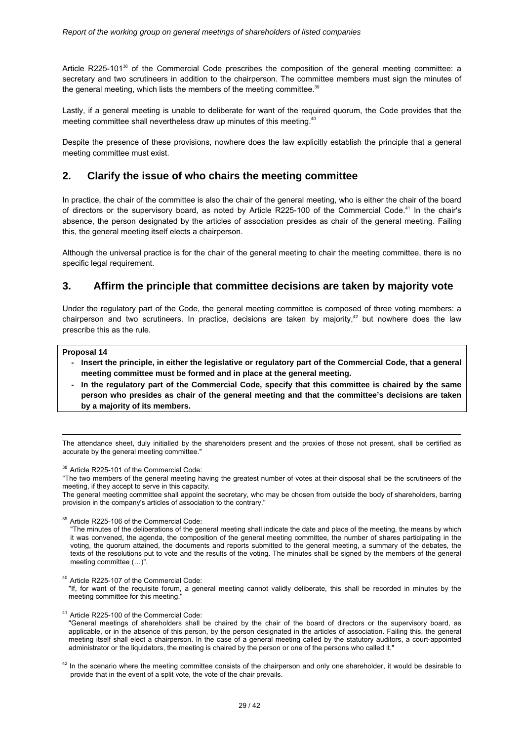Article R225-101<sup>38</sup> of the Commercial Code prescribes the composition of the general meeting committee: a secretary and two scrutineers in addition to the chairperson. The committee members must sign the minutes of the general meeting, which lists the members of the meeting committee.<sup>39</sup>

Lastly, if a general meeting is unable to deliberate for want of the required quorum, the Code provides that the meeting committee shall nevertheless draw up minutes of this meeting.<sup>40</sup>

Despite the presence of these provisions, nowhere does the law explicitly establish the principle that a general meeting committee must exist.

## **2. Clarify the issue of who chairs the meeting committee**

In practice, the chair of the committee is also the chair of the general meeting, who is either the chair of the board of directors or the supervisory board, as noted by Article R225-100 of the Commercial Code.41 In the chair's absence, the person designated by the articles of association presides as chair of the general meeting. Failing this, the general meeting itself elects a chairperson.

Although the universal practice is for the chair of the general meeting to chair the meeting committee, there is no specific legal requirement.

## **3. Affirm the principle that committee decisions are taken by majority vote**

Under the regulatory part of the Code, the general meeting committee is composed of three voting members: a chairperson and two scrutineers. In practice, decisions are taken by majority, $42$  but nowhere does the law prescribe this as the rule.

#### **Proposal 14**

-

- **Insert the principle, in either the legislative or regulatory part of the Commercial Code, that a general meeting committee must be formed and in place at the general meeting.**
- In the regulatory part of the Commercial Code, specify that this committee is chaired by the same **person who presides as chair of the general meeting and that the committee's decisions are taken by a majority of its members.**

The attendance sheet, duly initialled by the shareholders present and the proxies of those not present, shall be certified as accurate by the general meeting committee."

<sup>38</sup> Article R225-101 of the Commercial Code:

"The two members of the general meeting having the greatest number of votes at their disposal shall be the scrutineers of the meeting, if they accept to serve in this capacity.

The general meeting committee shall appoint the secretary, who may be chosen from outside the body of shareholders, barring provision in the company's articles of association to the contrary."

<sup>39</sup> Article R225-106 of the Commercial Code:

"The minutes of the deliberations of the general meeting shall indicate the date and place of the meeting, the means by which it was convened, the agenda, the composition of the general meeting committee, the number of shares participating in the voting, the quorum attained, the documents and reports submitted to the general meeting, a summary of the debates, the texts of the resolutions put to vote and the results of the voting. The minutes shall be signed by the members of the general meeting committee (…)".

<sup>40</sup> Article R225-107 of the Commercial Code:

"If, for want of the requisite forum, a general meeting cannot validly deliberate, this shall be recorded in minutes by the meeting committee for this meeting.

<sup>41</sup> Article R225-100 of the Commercial Code:

"General meetings of shareholders shall be chaired by the chair of the board of directors or the supervisory board, as applicable, or in the absence of this person, by the person designated in the articles of association. Failing this, the general meeting itself shall elect a chairperson. In the case of a general meeting called by the statutory auditors, a court-appointed administrator or the liquidators, the meeting is chaired by the person or one of the persons who called it."

<sup>42</sup> In the scenario where the meeting committee consists of the chairperson and only one shareholder, it would be desirable to provide that in the event of a split vote, the vote of the chair prevails.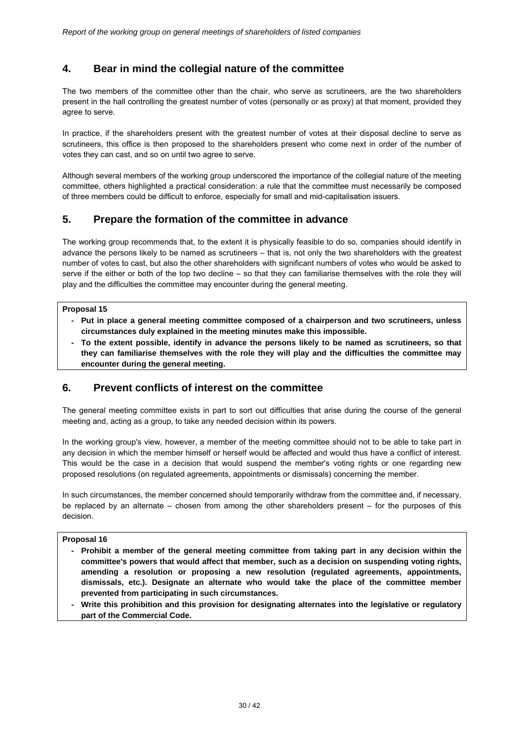## **4. Bear in mind the collegial nature of the committee**

The two members of the committee other than the chair, who serve as scrutineers, are the two shareholders present in the hall controlling the greatest number of votes (personally or as proxy) at that moment, provided they agree to serve.

In practice, if the shareholders present with the greatest number of votes at their disposal decline to serve as scrutineers, this office is then proposed to the shareholders present who come next in order of the number of votes they can cast, and so on until two agree to serve.

Although several members of the working group underscored the importance of the collegial nature of the meeting committee, others highlighted a practical consideration: a rule that the committee must necessarily be composed of three members could be difficult to enforce, especially for small and mid-capitalisation issuers.

### **5. Prepare the formation of the committee in advance**

The working group recommends that, to the extent it is physically feasible to do so, companies should identify in advance the persons likely to be named as scrutineers – that is, not only the two shareholders with the greatest number of votes to cast, but also the other shareholders with significant numbers of votes who would be asked to serve if the either or both of the top two decline – so that they can familiarise themselves with the role they will play and the difficulties the committee may encounter during the general meeting.

#### **Proposal 15**

- **- Put in place a general meeting committee composed of a chairperson and two scrutineers, unless circumstances duly explained in the meeting minutes make this impossible.**
- To the extent possible, identify in advance the persons likely to be named as scrutineers, so that **they can familiarise themselves with the role they will play and the difficulties the committee may encounter during the general meeting.**

## **6. Prevent conflicts of interest on the committee**

The general meeting committee exists in part to sort out difficulties that arise during the course of the general meeting and, acting as a group, to take any needed decision within its powers.

In the working group's view, however, a member of the meeting committee should not to be able to take part in any decision in which the member himself or herself would be affected and would thus have a conflict of interest. This would be the case in a decision that would suspend the member's voting rights or one regarding new proposed resolutions (on regulated agreements, appointments or dismissals) concerning the member.

In such circumstances, the member concerned should temporarily withdraw from the committee and, if necessary, be replaced by an alternate – chosen from among the other shareholders present – for the purposes of this decision.

#### **Proposal 16**

- **Prohibit a member of the general meeting committee from taking part in any decision within the committee's powers that would affect that member, such as a decision on suspending voting rights, amending a resolution or proposing a new resolution (regulated agreements, appointments, dismissals, etc.). Designate an alternate who would take the place of the committee member prevented from participating in such circumstances.**
- **Write this prohibition and this provision for designating alternates into the legislative or regulatory part of the Commercial Code.**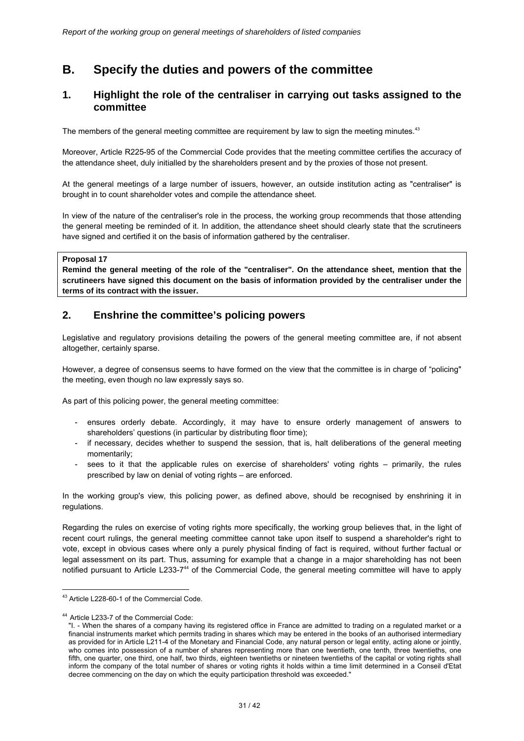## **B. Specify the duties and powers of the committee**

## **1. Highlight the role of the centraliser in carrying out tasks assigned to the committee**

The members of the general meeting committee are requirement by law to sign the meeting minutes.<sup>43</sup>

Moreover, Article R225-95 of the Commercial Code provides that the meeting committee certifies the accuracy of the attendance sheet, duly initialled by the shareholders present and by the proxies of those not present.

At the general meetings of a large number of issuers, however, an outside institution acting as "centraliser" is brought in to count shareholder votes and compile the attendance sheet.

In view of the nature of the centraliser's role in the process, the working group recommends that those attending the general meeting be reminded of it. In addition, the attendance sheet should clearly state that the scrutineers have signed and certified it on the basis of information gathered by the centraliser.

#### **Proposal 17**

**Remind the general meeting of the role of the "centraliser". On the attendance sheet, mention that the scrutineers have signed this document on the basis of information provided by the centraliser under the terms of its contract with the issuer.** 

## **2. Enshrine the committee's policing powers**

Legislative and regulatory provisions detailing the powers of the general meeting committee are, if not absent altogether, certainly sparse.

However, a degree of consensus seems to have formed on the view that the committee is in charge of "policing" the meeting, even though no law expressly says so.

As part of this policing power, the general meeting committee:

- ensures orderly debate. Accordingly, it may have to ensure orderly management of answers to shareholders' questions (in particular by distributing floor time);
- if necessary, decides whether to suspend the session, that is, halt deliberations of the general meeting momentarily;
- sees to it that the applicable rules on exercise of shareholders' voting rights primarily, the rules prescribed by law on denial of voting rights – are enforced.

In the working group's view, this policing power, as defined above, should be recognised by enshrining it in regulations.

Regarding the rules on exercise of voting rights more specifically, the working group believes that, in the light of recent court rulings, the general meeting committee cannot take upon itself to suspend a shareholder's right to vote, except in obvious cases where only a purely physical finding of fact is required, without further factual or legal assessment on its part. Thus, assuming for example that a change in a major shareholding has not been notified pursuant to Article L233-7<sup>44</sup> of the Commercial Code, the general meeting committee will have to apply

<u>.</u>

<sup>&</sup>lt;sup>43</sup> Article L228-60-1 of the Commercial Code.

<sup>&</sup>lt;sup>44</sup> Article L233-7 of the Commercial Code:

<sup>&</sup>quot;I. - When the shares of a company having its registered office in France are admitted to trading on a regulated market or a financial instruments market which permits trading in shares which may be entered in the books of an authorised intermediary as provided for in Article L211-4 of the Monetary and Financial Code, any natural person or legal entity, acting alone or jointly, who comes into possession of a number of shares representing more than one twentieth, one tenth, three twentieths, one fifth, one quarter, one third, one half, two thirds, eighteen twentieths or nineteen twentieths of the capital or voting rights shall inform the company of the total number of shares or voting rights it holds within a time limit determined in a Conseil d'Etat decree commencing on the day on which the equity participation threshold was exceeded."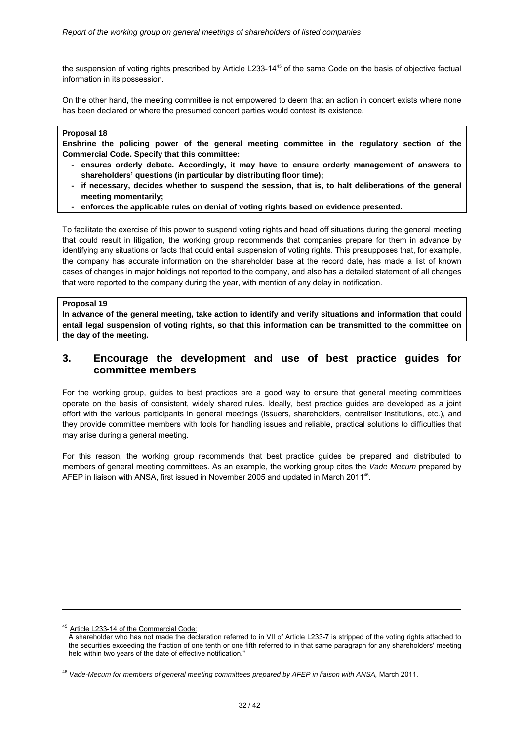the suspension of voting rights prescribed by Article L233-14<sup>45</sup> of the same Code on the basis of objective factual information in its possession.

On the other hand, the meeting committee is not empowered to deem that an action in concert exists where none has been declared or where the presumed concert parties would contest its existence.

#### **Proposal 18**

**Enshrine the policing power of the general meeting committee in the regulatory section of the Commercial Code. Specify that this committee:** 

- ensures orderly debate. Accordingly, it may have to ensure orderly management of answers to **shareholders' questions (in particular by distributing floor time);**
- if necessary, decides whether to suspend the session, that is, to halt deliberations of the general **meeting momentarily;**
- enforces the applicable rules on denial of voting rights based on evidence presented.

To facilitate the exercise of this power to suspend voting rights and head off situations during the general meeting that could result in litigation, the working group recommends that companies prepare for them in advance by identifying any situations or facts that could entail suspension of voting rights. This presupposes that, for example, the company has accurate information on the shareholder base at the record date, has made a list of known cases of changes in major holdings not reported to the company, and also has a detailed statement of all changes that were reported to the company during the year, with mention of any delay in notification.

#### **Proposal 19**

**In advance of the general meeting, take action to identify and verify situations and information that could entail legal suspension of voting rights, so that this information can be transmitted to the committee on the day of the meeting.** 

## **3. Encourage the development and use of best practice guides for committee members**

For the working group, guides to best practices are a good way to ensure that general meeting committees operate on the basis of consistent, widely shared rules. Ideally, best practice guides are developed as a joint effort with the various participants in general meetings (issuers, shareholders, centraliser institutions, etc.), and they provide committee members with tools for handling issues and reliable, practical solutions to difficulties that may arise during a general meeting.

For this reason, the working group recommends that best practice guides be prepared and distributed to members of general meeting committees. As an example, the working group cites the *Vade Mecum* prepared by AFEP in liaison with ANSA, first issued in November 2005 and updated in March 2011<sup>46</sup>.

-

<sup>45</sup> Article L233-14 of the Commercial Code:

A shareholder who has not made the declaration referred to in VII of Article L233-7 is stripped of the voting rights attached to the securities exceeding the fraction of one tenth or one fifth referred to in that same paragraph for any shareholders' meeting held within two years of the date of effective notification."

<sup>46</sup> *Vade-Mecum for members of general meeting committees prepared by AFEP in liaison with ANSA,* March 2011.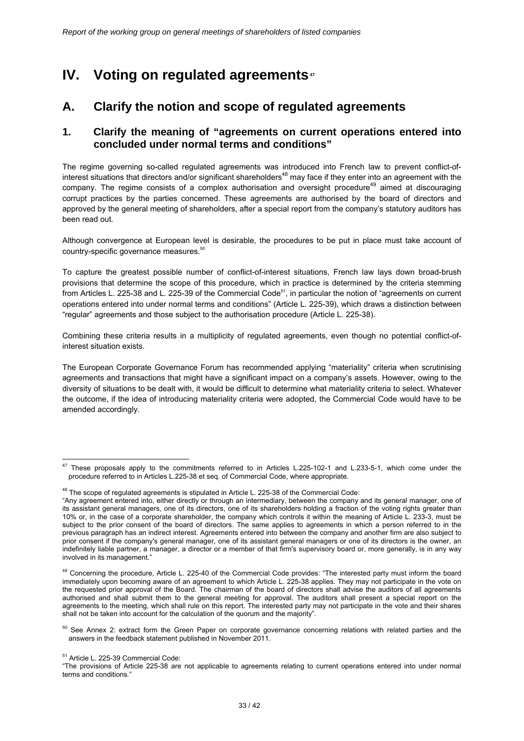# **IV.** Voting on regulated agreements<sup>47</sup>

## **A. Clarify the notion and scope of regulated agreements**

## **1. Clarify the meaning of "agreements on current operations entered into concluded under normal terms and conditions"**

The regime governing so-called regulated agreements was introduced into French law to prevent conflict-ofinterest situations that directors and/or significant shareholders<sup>48</sup> may face if they enter into an agreement with the company. The regime consists of a complex authorisation and oversight procedure<sup>49</sup> aimed at discouraging corrupt practices by the parties concerned. These agreements are authorised by the board of directors and approved by the general meeting of shareholders, after a special report from the company's statutory auditors has been read out.

Although convergence at European level is desirable, the procedures to be put in place must take account of country-specific governance measures.<sup>50</sup>

To capture the greatest possible number of conflict-of-interest situations, French law lays down broad-brush provisions that determine the scope of this procedure, which in practice is determined by the criteria stemming from Articles L. 225-38 and L. 225-39 of the Commercial Code<sup>51</sup>, in particular the notion of "agreements on current operations entered into under normal terms and conditions" (Article L. 225-39), which draws a distinction between "regular" agreements and those subject to the authorisation procedure (Article L. 225-38).

Combining these criteria results in a multiplicity of regulated agreements, even though no potential conflict-ofinterest situation exists.

The European Corporate Governance Forum has recommended applying "materiality" criteria when scrutinising agreements and transactions that might have a significant impact on a company's assets. However, owing to the diversity of situations to be dealt with, it would be difficult to determine what materiality criteria to select. Whatever the outcome, if the idea of introducing materiality criteria were adopted, the Commercial Code would have to be amended accordingly.

<sup>-</sup> $47$  These proposals apply to the commitments referred to in Articles L.225-102-1 and L.233-5-1, which come under the procedure referred to in Articles L.225-38 et seq. of Commercial Code, where appropriate.

<sup>&</sup>lt;sup>48</sup> The scope of regulated agreements is stipulated in Article L. 225-38 of the Commercial Code:

<sup>&</sup>quot;Any agreement entered into, either directly or through an intermediary, between the company and its general manager, one of its assistant general managers, one of its directors, one of its shareholders holding a fraction of the voting rights greater than 10% or, in the case of a corporate shareholder, the company which controls it within the meaning of Article L. 233-3, must be subject to the prior consent of the board of directors. The same applies to agreements in which a person referred to in the previous paragraph has an indirect interest. Agreements entered into between the company and another firm are also subject to prior consent if the company's general manager, one of its assistant general managers or one of its directors is the owner, an indefinitely liable partner, a manager, a director or a member of that firm's supervisory board or, more generally, is in any way involved in its management.

<sup>&</sup>lt;sup>49</sup> Concerning the procedure, Article L. 225-40 of the Commercial Code provides: "The interested party must inform the board immediately upon becoming aware of an agreement to which Article L. 225-38 applies. They may not participate in the vote on the requested prior approval of the Board. The chairman of the board of directors shall advise the auditors of all agreements authorised and shall submit them to the general meeting for approval. The auditors shall present a special report on the agreements to the meeting, which shall rule on this report. The interested party may not participate in the vote and their shares shall not be taken into account for the calculation of the quorum and the majority".

<sup>&</sup>lt;sup>50</sup> See Annex 2: extract form the Green Paper on corporate governance concerning relations with related parties and the answers in the feedback statement published in November 2011.

<sup>51</sup> Article L. 225-39 Commercial Code:

<sup>&</sup>quot;The provisions of Article 225-38 are not applicable to agreements relating to current operations entered into under normal terms and conditions*.*"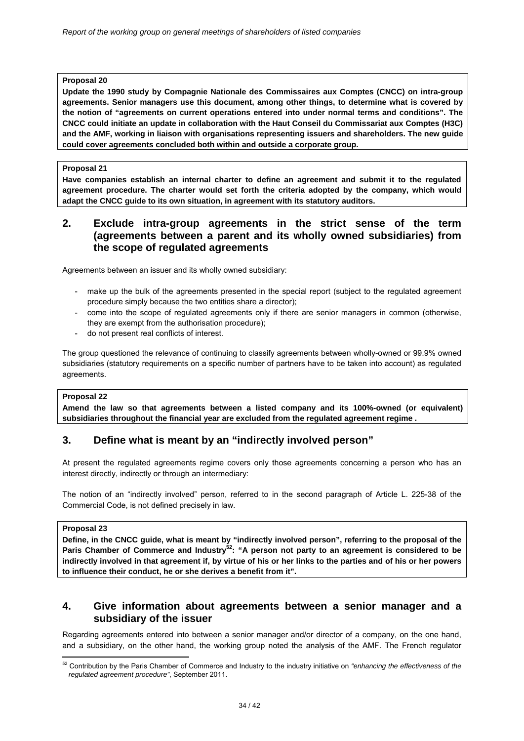**Update the 1990 study by Compagnie Nationale des Commissaires aux Comptes (CNCC) on intra-group agreements. Senior managers use this document, among other things, to determine what is covered by the notion of "agreements on current operations entered into under normal terms and conditions". The CNCC could initiate an update in collaboration with the Haut Conseil du Commissariat aux Comptes (H3C) and the AMF, working in liaison with organisations representing issuers and shareholders. The new guide could cover agreements concluded both within and outside a corporate group.** 

#### **Proposal 21**

**Have companies establish an internal charter to define an agreement and submit it to the regulated agreement procedure. The charter would set forth the criteria adopted by the company, which would adapt the CNCC guide to its own situation, in agreement with its statutory auditors.** 

## **2. Exclude intra-group agreements in the strict sense of the term (agreements between a parent and its wholly owned subsidiaries) from the scope of regulated agreements**

Agreements between an issuer and its wholly owned subsidiary:

- make up the bulk of the agreements presented in the special report (subject to the regulated agreement procedure simply because the two entities share a director);
- come into the scope of regulated agreements only if there are senior managers in common (otherwise, they are exempt from the authorisation procedure);
- do not present real conflicts of interest.

The group questioned the relevance of continuing to classify agreements between wholly-owned or 99.9% owned subsidiaries (statutory requirements on a specific number of partners have to be taken into account) as regulated agreements.

#### **Proposal 22**

**Amend the law so that agreements between a listed company and its 100%-owned (or equivalent) subsidiaries throughout the financial year are excluded from the regulated agreement regime .** 

## **3. Define what is meant by an "indirectly involved person"**

At present the regulated agreements regime covers only those agreements concerning a person who has an interest directly, indirectly or through an intermediary:

The notion of an "indirectly involved" person, referred to in the second paragraph of Article L. 225-38 of the Commercial Code, is not defined precisely in law.

#### **Proposal 23**

**Define, in the CNCC guide, what is meant by "indirectly involved person", referring to the proposal of the Paris Chamber of Commerce and Industry52: "A person not party to an agreement is considered to be indirectly involved in that agreement if, by virtue of his or her links to the parties and of his or her powers to influence their conduct, he or she derives a benefit from it".** 

## **4. Give information about agreements between a senior manager and a subsidiary of the issuer**

Regarding agreements entered into between a senior manager and/or director of a company, on the one hand, and a subsidiary, on the other hand, the working group noted the analysis of the AMF. The French regulator

<sup>-</sup>52 Contribution by the Paris Chamber of Commerce and Industry to the industry initiative on *"enhancing the effectiveness of the regulated agreement procedure"*, September 2011.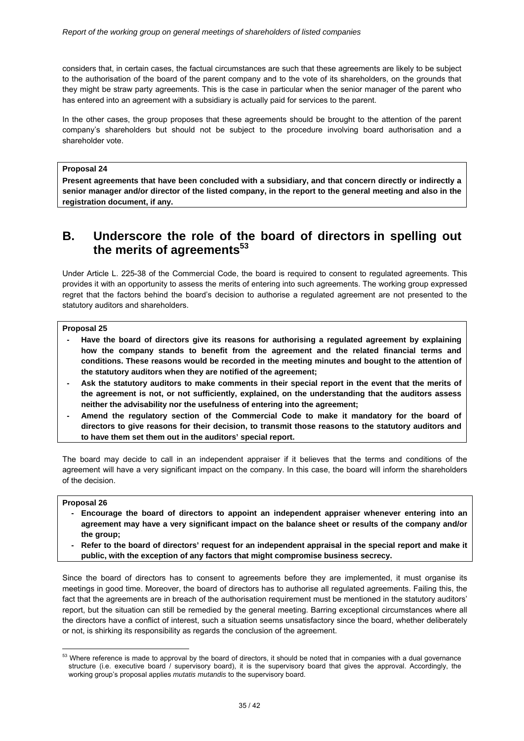considers that, in certain cases, the factual circumstances are such that these agreements are likely to be subject to the authorisation of the board of the parent company and to the vote of its shareholders, on the grounds that they might be straw party agreements. This is the case in particular when the senior manager of the parent who has entered into an agreement with a subsidiary is actually paid for services to the parent.

In the other cases, the group proposes that these agreements should be brought to the attention of the parent company's shareholders but should not be subject to the procedure involving board authorisation and a shareholder vote.

#### **Proposal 24**

**Present agreements that have been concluded with a subsidiary, and that concern directly or indirectly a senior manager and/or director of the listed company, in the report to the general meeting and also in the registration document, if any.** 

## **B. Underscore the role of the board of directors in spelling out**  the merits of agreements<sup>53</sup>

Under Article L. 225-38 of the Commercial Code, the board is required to consent to regulated agreements. This provides it with an opportunity to assess the merits of entering into such agreements. The working group expressed regret that the factors behind the board's decision to authorise a regulated agreement are not presented to the statutory auditors and shareholders.

#### **Proposal 25**

- Have the board of directors give its reasons for authorising a regulated agreement by explaining **how the company stands to benefit from the agreement and the related financial terms and conditions. These reasons would be recorded in the meeting minutes and bought to the attention of the statutory auditors when they are notified of the agreement;**
- Ask the statutory auditors to make comments in their special report in the event that the merits of **the agreement is not, or not sufficiently, explained, on the understanding that the auditors assess neither the advisability nor the usefulness of entering into the agreement;**
- Amend the regulatory section of the Commercial Code to make it mandatory for the board of **directors to give reasons for their decision, to transmit those reasons to the statutory auditors and to have them set them out in the auditors' special report.**

The board may decide to call in an independent appraiser if it believes that the terms and conditions of the agreement will have a very significant impact on the company. In this case, the board will inform the shareholders of the decision.

#### **Proposal 26**

- Encourage the board of directors to appoint an independent appraiser whenever entering into an **agreement may have a very significant impact on the balance sheet or results of the company and/or the group;**
- Refer to the board of directors' request for an independent appraisal in the special report and make it **public, with the exception of any factors that might compromise business secrecy.**

Since the board of directors has to consent to agreements before they are implemented, it must organise its meetings in good time. Moreover, the board of directors has to authorise all regulated agreements. Failing this, the fact that the agreements are in breach of the authorisation requirement must be mentioned in the statutory auditors' report, but the situation can still be remedied by the general meeting. Barring exceptional circumstances where all the directors have a conflict of interest, such a situation seems unsatisfactory since the board, whether deliberately or not, is shirking its responsibility as regards the conclusion of the agreement.

<sup>&</sup>lt;u>.</u>  $53$  Where reference is made to approval by the board of directors, it should be noted that in companies with a dual governance structure (i.e. executive board / supervisory board), it is the supervisory board that gives the approval. Accordingly, the working group's proposal applies *mutatis mutandis* to the supervisory board.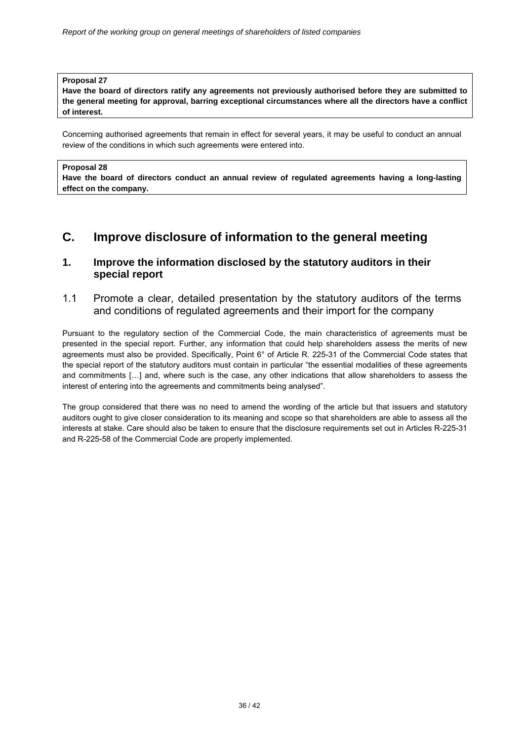**Have the board of directors ratify any agreements not previously authorised before they are submitted to the general meeting for approval, barring exceptional circumstances where all the directors have a conflict of interest.** 

Concerning authorised agreements that remain in effect for several years, it may be useful to conduct an annual review of the conditions in which such agreements were entered into.

#### **Proposal 28**

**Have the board of directors conduct an annual review of regulated agreements having a long-lasting effect on the company.**

## **C. Improve disclosure of information to the general meeting**

## **1. Improve the information disclosed by the statutory auditors in their special report**

### 1.1 Promote a clear, detailed presentation by the statutory auditors of the terms and conditions of regulated agreements and their import for the company

Pursuant to the regulatory section of the Commercial Code, the main characteristics of agreements must be presented in the special report. Further, any information that could help shareholders assess the merits of new agreements must also be provided. Specifically, Point 6° of Article R. 225-31 of the Commercial Code states that the special report of the statutory auditors must contain in particular "the essential modalities of these agreements and commitments […] and, where such is the case, any other indications that allow shareholders to assess the interest of entering into the agreements and commitments being analysed".

The group considered that there was no need to amend the wording of the article but that issuers and statutory auditors ought to give closer consideration to its meaning and scope so that shareholders are able to assess all the interests at stake. Care should also be taken to ensure that the disclosure requirements set out in Articles R-225-31 and R-225-58 of the Commercial Code are properly implemented.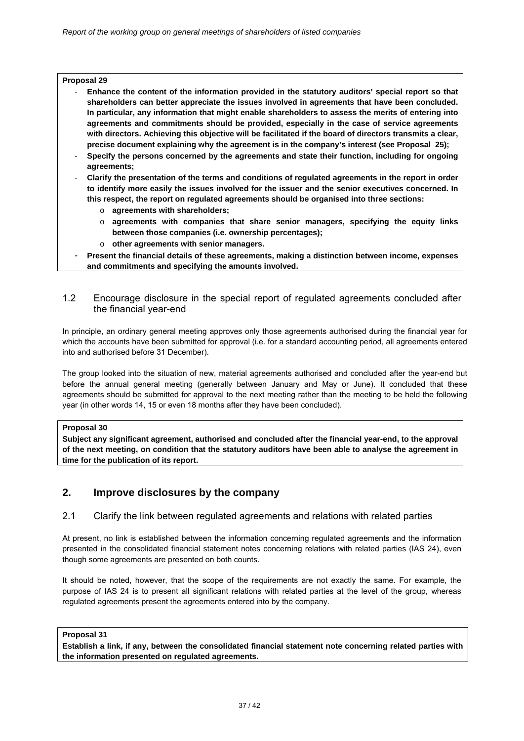- ‐ **Enhance the content of the information provided in the statutory auditors' special report so that shareholders can better appreciate the issues involved in agreements that have been concluded. In particular, any information that might enable shareholders to assess the merits of entering into agreements and commitments should be provided, especially in the case of service agreements with directors. Achieving this objective will be facilitated if the board of directors transmits a clear, precise document explaining why the agreement is in the company's interest (see Proposal 25);**
- ‐ **Specify the persons concerned by the agreements and state their function, including for ongoing agreements;**
- ‐ **Clarify the presentation of the terms and conditions of regulated agreements in the report in order to identify more easily the issues involved for the issuer and the senior executives concerned. In this respect, the report on regulated agreements should be organised into three sections:** 
	- o **agreements with shareholders;**
	- o **agreements with companies that share senior managers, specifying the equity links between those companies (i.e. ownership percentages);**
	- o **other agreements with senior managers.**
- ‐ **Present the financial details of these agreements, making a distinction between income, expenses and commitments and specifying the amounts involved.**

### 1.2 Encourage disclosure in the special report of regulated agreements concluded after the financial year-end

In principle, an ordinary general meeting approves only those agreements authorised during the financial year for which the accounts have been submitted for approval (i.e. for a standard accounting period, all agreements entered into and authorised before 31 December).

The group looked into the situation of new, material agreements authorised and concluded after the year-end but before the annual general meeting (generally between January and May or June). It concluded that these agreements should be submitted for approval to the next meeting rather than the meeting to be held the following year (in other words 14, 15 or even 18 months after they have been concluded).

#### **Proposal 30**

**Subject any significant agreement, authorised and concluded after the financial year-end, to the approval of the next meeting, on condition that the statutory auditors have been able to analyse the agreement in time for the publication of its report.** 

## **2. Improve disclosures by the company**

### 2.1 Clarify the link between regulated agreements and relations with related parties

At present, no link is established between the information concerning regulated agreements and the information presented in the consolidated financial statement notes concerning relations with related parties (IAS 24), even though some agreements are presented on both counts.

It should be noted, however, that the scope of the requirements are not exactly the same. For example, the purpose of IAS 24 is to present all significant relations with related parties at the level of the group, whereas regulated agreements present the agreements entered into by the company.

#### **Proposal 31**

**Establish a link, if any, between the consolidated financial statement note concerning related parties with the information presented on regulated agreements.**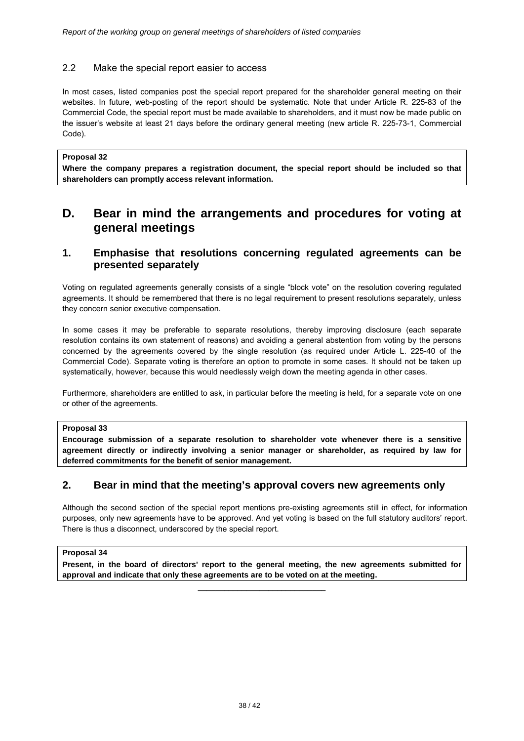### 2.2 Make the special report easier to access

In most cases, listed companies post the special report prepared for the shareholder general meeting on their websites. In future, web-posting of the report should be systematic. Note that under Article R. 225-83 of the Commercial Code, the special report must be made available to shareholders, and it must now be made public on the issuer's website at least 21 days before the ordinary general meeting (new article R. 225-73-1, Commercial Code).

#### **Proposal 32**

**Where the company prepares a registration document, the special report should be included so that shareholders can promptly access relevant information.** 

## **D. Bear in mind the arrangements and procedures for voting at general meetings**

## **1. Emphasise that resolutions concerning regulated agreements can be presented separately**

Voting on regulated agreements generally consists of a single "block vote" on the resolution covering regulated agreements. It should be remembered that there is no legal requirement to present resolutions separately, unless they concern senior executive compensation.

In some cases it may be preferable to separate resolutions, thereby improving disclosure (each separate resolution contains its own statement of reasons) and avoiding a general abstention from voting by the persons concerned by the agreements covered by the single resolution (as required under Article L. 225-40 of the Commercial Code). Separate voting is therefore an option to promote in some cases. It should not be taken up systematically, however, because this would needlessly weigh down the meeting agenda in other cases.

Furthermore, shareholders are entitled to ask, in particular before the meeting is held, for a separate vote on one or other of the agreements.

#### **Proposal 33**

**Encourage submission of a separate resolution to shareholder vote whenever there is a sensitive agreement directly or indirectly involving a senior manager or shareholder, as required by law for deferred commitments for the benefit of senior management.** 

## **2. Bear in mind that the meeting's approval covers new agreements only**

Although the second section of the special report mentions pre-existing agreements still in effect, for information purposes, only new agreements have to be approved. And yet voting is based on the full statutory auditors' report. There is thus a disconnect, underscored by the special report.

#### **Proposal 34**

**Present, in the board of directors' report to the general meeting, the new agreements submitted for approval and indicate that only these agreements are to be voted on at the meeting.** 

\_\_\_\_\_\_\_\_\_\_\_\_\_\_\_\_\_\_\_\_\_\_\_\_\_\_\_\_\_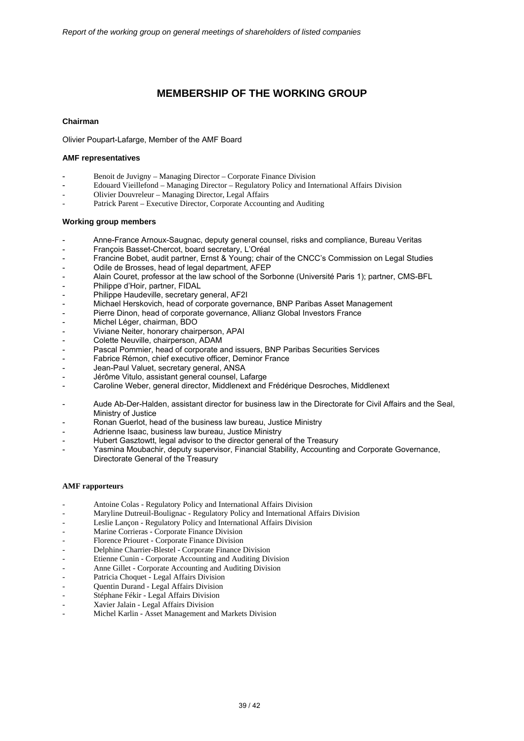## **MEMBERSHIP OF THE WORKING GROUP**

#### **Chairman**

Olivier Poupart-Lafarge, Member of the AMF Board

#### **AMF representatives**

- Benoit de Juvigny Managing Director Corporate Finance Division
- Edouard Vieillefond Managing Director Regulatory Policy and International Affairs Division
- Olivier Douvreleur Managing Director, Legal Affairs
- Patrick Parent Executive Director, Corporate Accounting and Auditing

#### **Working group members**

- Anne-France Arnoux-Saugnac, deputy general counsel, risks and compliance, Bureau Veritas
- François Basset-Chercot, board secretary, L'Oréal
- Francine Bobet, audit partner, Ernst & Young; chair of the CNCC's Commission on Legal Studies
- Odile de Brosses, head of legal department, AFEP
- Alain Couret, professor at the law school of the Sorbonne (Université Paris 1); partner, CMS-BFL
- Philippe d'Hoir, partner, FIDAL
- Philippe Haudeville, secretary general, AF2I
- Michael Herskovich, head of corporate governance, BNP Paribas Asset Management
- Pierre Dinon, head of corporate governance, Allianz Global Investors France
- Michel Léger, chairman, BDO
- Viviane Neiter, honorary chairperson, APAI
- Colette Neuville, chairperson, ADAM
- Pascal Pommier, head of corporate and issuers, BNP Paribas Securities Services
- Fabrice Rémon, chief executive officer, Deminor France
- Jean-Paul Valuet, secretary general, ANSA
- Jérôme Vitulo, assistant general counsel, Lafarge
- Caroline Weber, general director, Middlenext and Frédérique Desroches, Middlenext
- Aude Ab-Der-Halden, assistant director for business law in the Directorate for Civil Affairs and the Seal, Ministry of Justice
- Ronan Guerlot, head of the business law bureau, Justice Ministry
- Adrienne Isaac, business law bureau, Justice Ministry
- Hubert Gasztowtt, legal advisor to the director general of the Treasury
- Yasmina Moubachir, deputy supervisor, Financial Stability, Accounting and Corporate Governance, Directorate General of the Treasury

#### **AMF rapporteurs**

- Antoine Colas Regulatory Policy and International Affairs Division
- Maryline Dutreuil-Boulignac Regulatory Policy and International Affairs Division
- Leslie Lançon Regulatory Policy and International Affairs Division
- Marine Corrieras Corporate Finance Division
- Florence Priouret Corporate Finance Division
- Delphine Charrier-Blestel Corporate Finance Division
- Etienne Cunin Corporate Accounting and Auditing Division
- Anne Gillet Corporate Accounting and Auditing Division
- Patricia Choquet Legal Affairs Division
- Quentin Durand Legal Affairs Division
- Stéphane Fékir Legal Affairs Division
- Xavier Jalain Legal Affairs Division
- Michel Karlin Asset Management and Markets Division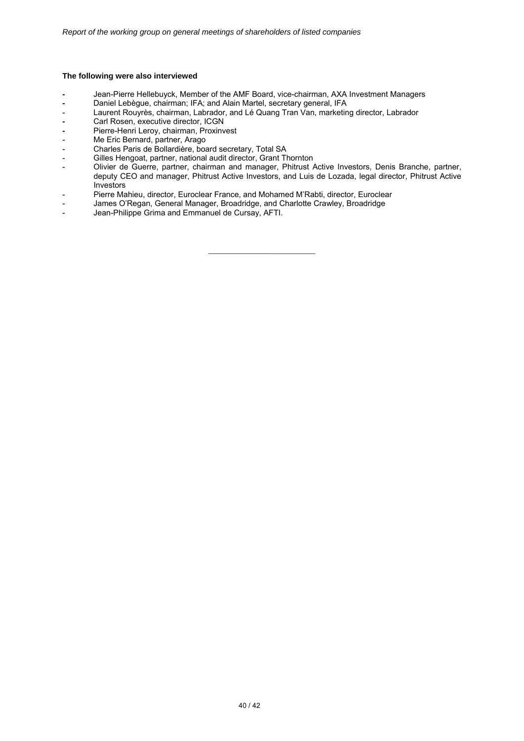#### **The following were also interviewed**

- **-** Jean-Pierre Hellebuyck, Member of the AMF Board, vice-chairman, AXA Investment Managers
- Daniel Lebègue, chairman; IFA; and Alain Martel, secretary general, IFA
- Laurent Rouyrès, chairman, Labrador, and Lé Quang Tran Van, marketing director, Labrador
- Carl Rosen, executive director, ICGN
- Pierre-Henri Leroy, chairman, Proxinvest
- Me Eric Bernard, partner, Arago
- Charles Paris de Bollardière, board secretary, Total SA
- Gilles Hengoat, partner, national audit director, Grant Thornton
- Olivier de Guerre, partner, chairman and manager, Phitrust Active Investors, Denis Branche, partner, deputy CEO and manager, Phitrust Active Investors, and Luis de Lozada, legal director, Phitrust Active Investors

\_\_\_\_\_\_\_\_\_\_\_\_\_\_\_\_\_\_\_\_\_\_\_\_\_\_\_

- Pierre Mahieu, director, Euroclear France, and Mohamed M'Rabti, director, Euroclear
- James O'Regan, General Manager, Broadridge, and Charlotte Crawley, Broadridge
- Jean-Philippe Grima and Emmanuel de Cursay, AFTI.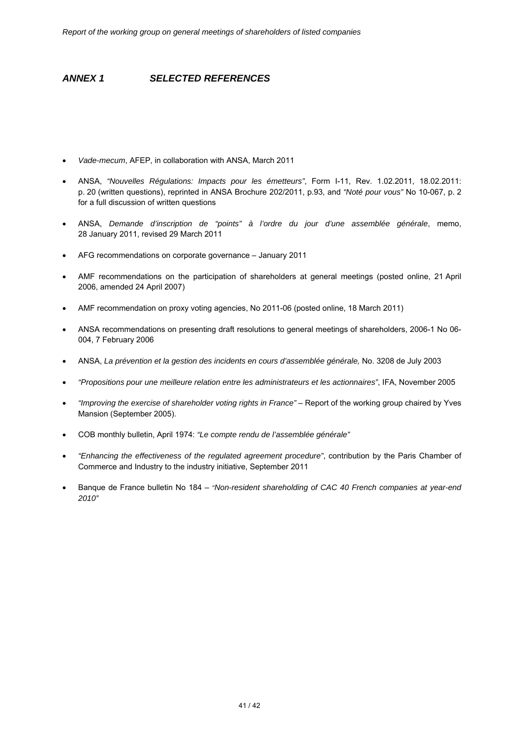## *ANNEX 1 SELECTED REFERENCES*

- *Vade-mecum*, AFEP, in collaboration with ANSA, March 2011
- ANSA, *"Nouvelles Régulations: Impacts pour les émetteurs"*, Form I-11, Rev. 1.02.2011, 18.02.2011: p. 20 (written questions), reprinted in ANSA Brochure 202/2011, p.93, and *"Noté pour vous"* No 10-067, p. 2 for a full discussion of written questions
- ANSA, *Demande d'inscription de "points" à l'ordre du jour d'une assemblée générale*, memo, 28 January 2011, revised 29 March 2011
- AFG recommendations on corporate governance January 2011
- AMF recommendations on the participation of shareholders at general meetings (posted online, 21 April 2006, amended 24 April 2007)
- AMF recommendation on proxy voting agencies, No 2011-06 (posted online, 18 March 2011)
- ANSA recommendations on presenting draft resolutions to general meetings of shareholders, 2006-1 No 06- 004, 7 February 2006
- ANSA, *La prévention et la gestion des incidents en cours d'assemblée générale,* No. 3208 de July 2003
- *"Propositions pour une meilleure relation entre les administrateurs et les actionnaires"*, IFA, November 2005
- *"Improving the exercise of shareholder voting rights in France"*  Report of the working group chaired by Yves Mansion (September 2005).
- COB monthly bulletin, April 1974: *"Le compte rendu de l'assemblée générale"*
- *"Enhancing the effectiveness of the regulated agreement procedure"*, contribution by the Paris Chamber of Commerce and Industry to the industry initiative, September 2011
- Banque de France bulletin No 184 *"Non-resident shareholding of CAC 40 French companies at year-end 2010"*